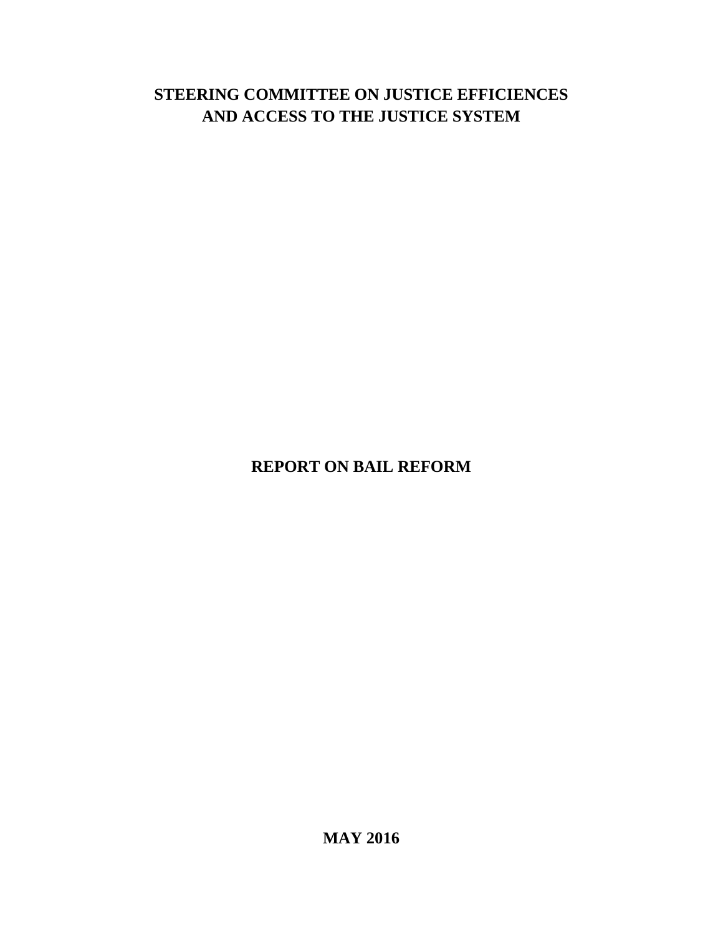# **STEERING COMMITTEE ON JUSTICE EFFICIENCES AND ACCESS TO THE JUSTICE SYSTEM**

**REPORT ON BAIL REFORM**

**MAY 2016**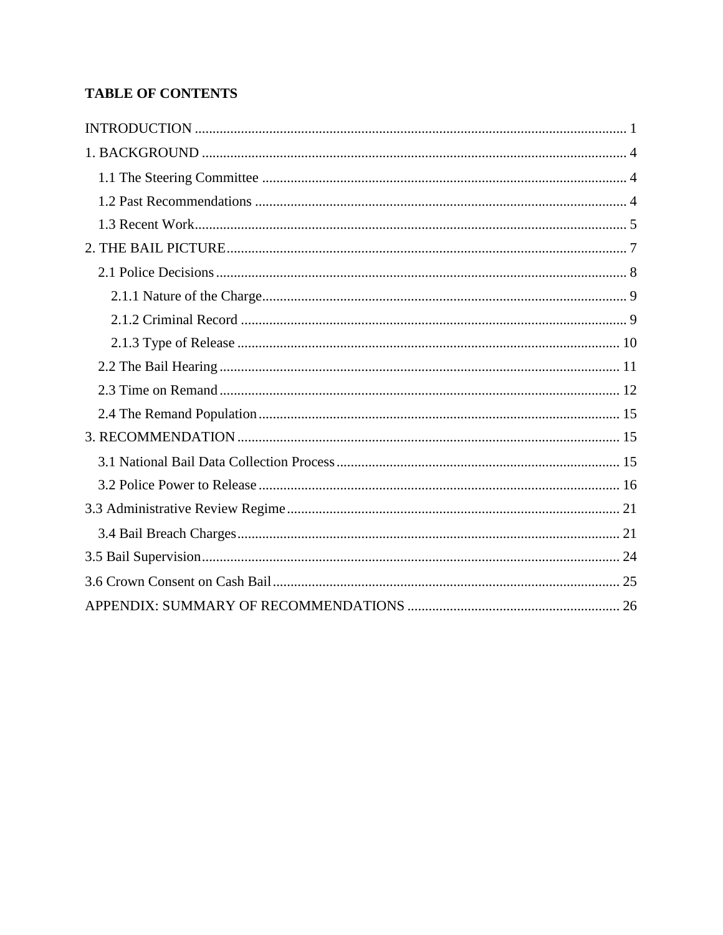## **TABLE OF CONTENTS**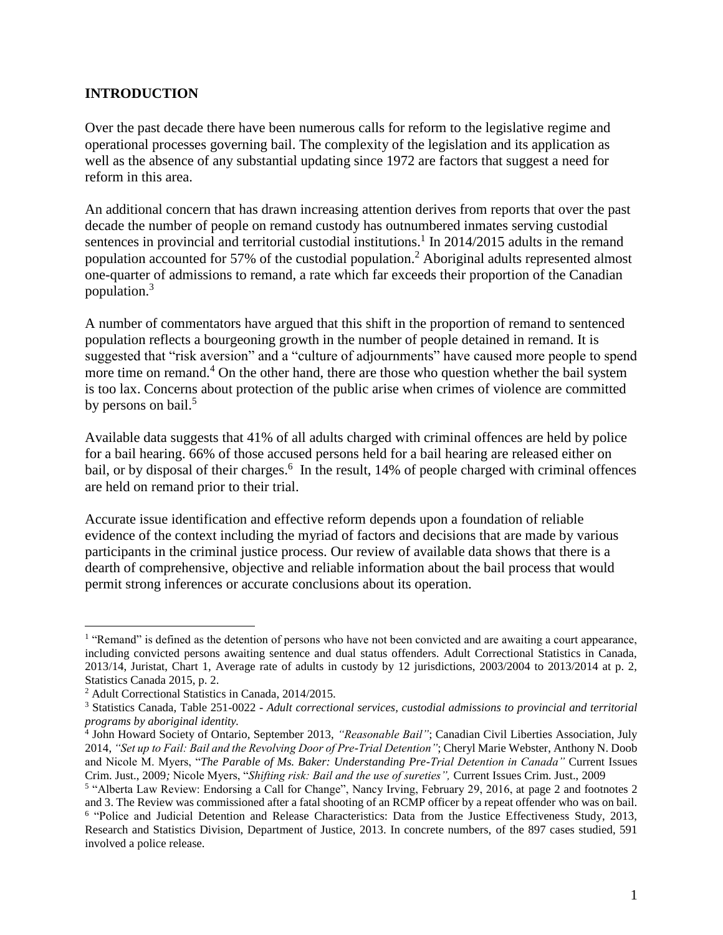#### <span id="page-2-0"></span>**INTRODUCTION**

Over the past decade there have been numerous calls for reform to the legislative regime and operational processes governing bail. The complexity of the legislation and its application as well as the absence of any substantial updating since 1972 are factors that suggest a need for reform in this area.

An additional concern that has drawn increasing attention derives from reports that over the past decade the number of people on remand custody has outnumbered inmates serving custodial sentences in provincial and territorial custodial institutions.<sup>1</sup> In 2014/2015 adults in the remand population accounted for 57% of the custodial population.<sup>2</sup> Aboriginal adults represented almost one-quarter of admissions to remand, a rate which far exceeds their proportion of the Canadian population. 3

A number of commentators have argued that this shift in the proportion of remand to sentenced population reflects a bourgeoning growth in the number of people detained in remand. It is suggested that "risk aversion" and a "culture of adjournments" have caused more people to spend more time on remand.<sup>4</sup> On the other hand, there are those who question whether the bail system is too lax. Concerns about protection of the public arise when crimes of violence are committed by persons on bail.<sup>5</sup>

Available data suggests that 41% of all adults charged with criminal offences are held by police for a bail hearing. 66% of those accused persons held for a bail hearing are released either on bail, or by disposal of their charges.<sup>6</sup> In the result, 14% of people charged with criminal offences are held on remand prior to their trial.

Accurate issue identification and effective reform depends upon a foundation of reliable evidence of the context including the myriad of factors and decisions that are made by various participants in the criminal justice process. Our review of available data shows that there is a dearth of comprehensive, objective and reliable information about the bail process that would permit strong inferences or accurate conclusions about its operation.

<sup>&</sup>lt;sup>1</sup> "Remand" is defined as the detention of persons who have not been convicted and are awaiting a court appearance, including convicted persons awaiting sentence and dual status offenders. Adult Correctional Statistics in Canada, 2013/14, Juristat, Chart 1, Average rate of adults in custody by 12 jurisdictions, 2003/2004 to 2013/2014 at p. 2, Statistics Canada 2015, p. 2.

<sup>2</sup> Adult Correctional Statistics in Canada, 2014/2015.

<sup>3</sup> Statistics Canada, Table 251-0022 - *Adult correctional services, custodial admissions to provincial and territorial programs by aboriginal identity.*

<sup>4</sup> John Howard Society of Ontario, September 2013, *"Reasonable Bail"*; Canadian Civil Liberties Association, July 2014, *"Set up to Fail: Bail and the Revolving Door of Pre-Trial Detention"*; Cheryl Marie Webster, Anthony N. Doob and Nicole M. Myers, "*The Parable of Ms. Baker: Understanding Pre-Trial Detention in Canada"* Current Issues Crim. Just., 2009*;* Nicole Myers, "*Shifting risk: Bail and the use of sureties",* Current Issues Crim. Just., 2009

<sup>&</sup>lt;sup>5</sup> "Alberta Law Review: Endorsing a Call for Change", Nancy Irving, February 29, 2016, at page 2 and footnotes 2 and 3. The Review was commissioned after a fatal shooting of an RCMP officer by a repeat offender who was on bail. <sup>6</sup> "Police and Judicial Detention and Release Characteristics: Data from the Justice Effectiveness Study, 2013, Research and Statistics Division, Department of Justice, 2013. In concrete numbers, of the 897 cases studied, 591 involved a police release.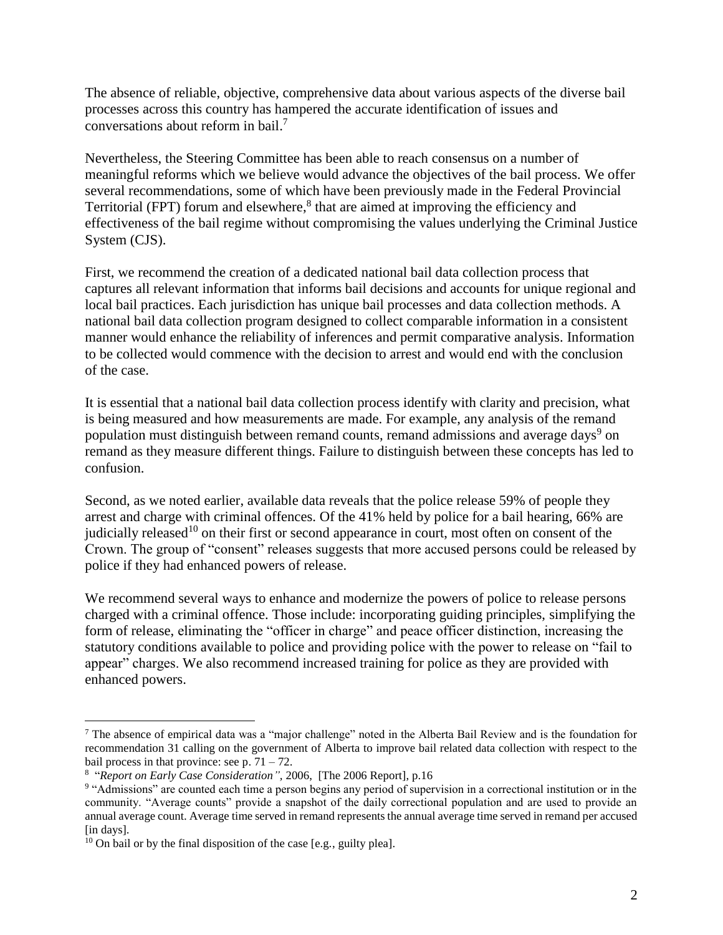The absence of reliable, objective, comprehensive data about various aspects of the diverse bail processes across this country has hampered the accurate identification of issues and conversations about reform in bail. 7

Nevertheless, the Steering Committee has been able to reach consensus on a number of meaningful reforms which we believe would advance the objectives of the bail process. We offer several recommendations, some of which have been previously made in the Federal Provincial Territorial (FPT) forum and elsewhere,<sup>8</sup> that are aimed at improving the efficiency and effectiveness of the bail regime without compromising the values underlying the Criminal Justice System (CJS).

First, we recommend the creation of a dedicated national bail data collection process that captures all relevant information that informs bail decisions and accounts for unique regional and local bail practices. Each jurisdiction has unique bail processes and data collection methods. A national bail data collection program designed to collect comparable information in a consistent manner would enhance the reliability of inferences and permit comparative analysis. Information to be collected would commence with the decision to arrest and would end with the conclusion of the case.

It is essential that a national bail data collection process identify with clarity and precision, what is being measured and how measurements are made. For example, any analysis of the remand population must distinguish between remand counts, remand admissions and average days<sup>9</sup> on remand as they measure different things. Failure to distinguish between these concepts has led to confusion.

Second, as we noted earlier, available data reveals that the police release 59% of people they arrest and charge with criminal offences. Of the 41% held by police for a bail hearing, 66% are judicially released<sup>10</sup> on their first or second appearance in court, most often on consent of the Crown. The group of "consent" releases suggests that more accused persons could be released by police if they had enhanced powers of release.

We recommend several ways to enhance and modernize the powers of police to release persons charged with a criminal offence. Those include: incorporating guiding principles, simplifying the form of release, eliminating the "officer in charge" and peace officer distinction, increasing the statutory conditions available to police and providing police with the power to release on "fail to appear" charges. We also recommend increased training for police as they are provided with enhanced powers.

<sup>7</sup> The absence of empirical data was a "major challenge" noted in the Alberta Bail Review and is the foundation for recommendation 31 calling on the government of Alberta to improve bail related data collection with respect to the bail process in that province: see p.  $71 - 72$ .

<sup>8</sup> "*Report on Early Case Consideration",* 2006, [The 2006 Report], p.16

<sup>&</sup>lt;sup>9</sup> "Admissions" are counted each time a person begins any period of supervision in a correctional institution or in the community. "Average counts" provide a snapshot of the daily correctional population and are used to provide an annual average count. Average time served in remand represents the annual average time served in remand per accused [in days].

 $10$  On bail or by the final disposition of the case [e.g., guilty plea].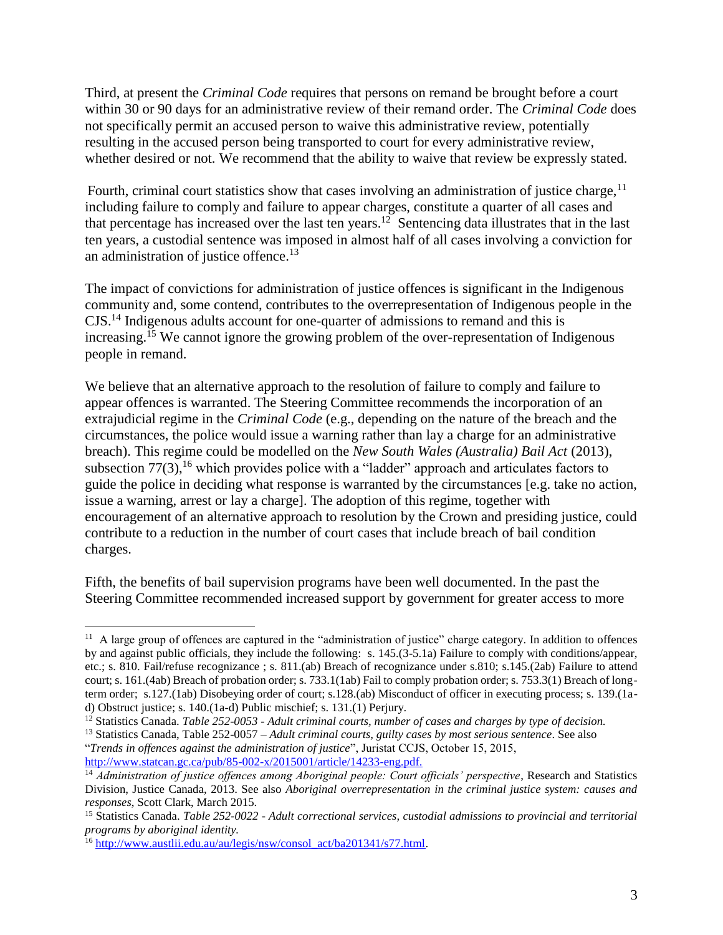Third, at present the *Criminal Code* requires that persons on remand be brought before a court within 30 or 90 days for an administrative review of their remand order. The *Criminal Code* does not specifically permit an accused person to waive this administrative review, potentially resulting in the accused person being transported to court for every administrative review, whether desired or not. We recommend that the ability to waive that review be expressly stated.

Fourth, criminal court statistics show that cases involving an administration of justice charge,  $11$ including failure to comply and failure to appear charges, constitute a quarter of all cases and that percentage has increased over the last ten years.<sup>12</sup> Sentencing data illustrates that in the last ten years, a custodial sentence was imposed in almost half of all cases involving a conviction for an administration of justice offence.<sup>13</sup>

The impact of convictions for administration of justice offences is significant in the Indigenous community and, some contend, contributes to the overrepresentation of Indigenous people in the CJS.<sup>14</sup> Indigenous adults account for one-quarter of admissions to remand and this is increasing.<sup>15</sup> We cannot ignore the growing problem of the over-representation of Indigenous people in remand.

We believe that an alternative approach to the resolution of failure to comply and failure to appear offences is warranted. The Steering Committee recommends the incorporation of an extrajudicial regime in the *Criminal Code* (e.g., depending on the nature of the breach and the circumstances, the police would issue a warning rather than lay a charge for an administrative breach). This regime could be modelled on the *New South Wales (Australia) Bail Act* (2013), subsection  $77(3)$ , <sup>16</sup> which provides police with a "ladder" approach and articulates factors to guide the police in deciding what response is warranted by the circumstances [e.g. take no action, issue a warning, arrest or lay a charge]. The adoption of this regime, together with encouragement of an alternative approach to resolution by the Crown and presiding justice, could contribute to a reduction in the number of court cases that include breach of bail condition charges.

Fifth, the benefits of bail supervision programs have been well documented. In the past the Steering Committee recommended increased support by government for greater access to more

"*Trends in offences against the administration of justice*", Juristat CCJS, October 15, 2015, [http://www.statcan.gc.ca/pub/85-002-x/2015001/article/14233-eng.pdf.](http://www.statcan.gc.ca/pub/85-002-x/2015001/article/14233-eng.pdf)

 $\overline{a}$ <sup>11</sup> A large group of offences are captured in the "administration of justice" charge category. In addition to offences by and against public officials, they include the following: s. 145.(3-5.1a) Failure to comply with conditions/appear, etc.; s. 810. Fail/refuse recognizance ; s. 811.(ab) Breach of recognizance under s.810; s.145.(2ab) Failure to attend court; s. 161.(4ab) Breach of probation order; s. 733.1(1ab) Fail to comply probation order; s. 753.3(1) Breach of longterm order; s.127.(1ab) Disobeying order of court; s.128.(ab) Misconduct of officer in executing process; s. 139.(1ad) Obstruct justice; s. 140.(1a-d) Public mischief; s. 131.(1) Perjury.

<sup>12</sup> Statistics Canada. *Table 252-0053 - Adult criminal courts, number of cases and charges by type of decision.*

<sup>13</sup> Statistics Canada, Table 252-0057 – *Adult criminal courts, guilty cases by most serious sentence*. See also

<sup>14</sup> *Administration of justice offences among Aboriginal people: Court officials' perspective*, Research and Statistics Division, Justice Canada, 2013. See also *Aboriginal overrepresentation in the criminal justice system: causes and responses*, Scott Clark, March 2015.

<sup>15</sup> Statistics Canada. *Table 252-0022 - Adult correctional services, custodial admissions to provincial and territorial programs by aboriginal identity.*

<sup>16</sup> [http://www.austlii.edu.au/au/legis/nsw/consol\\_act/ba201341/s77.html.](http://www.austlii.edu.au/au/legis/nsw/consol_act/ba201341/s77.html)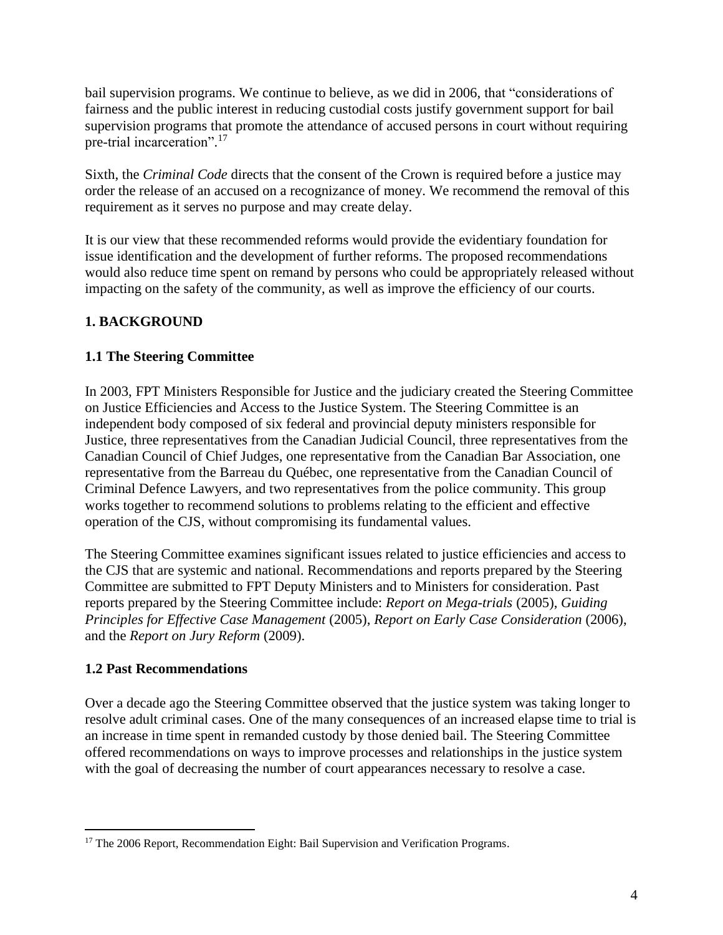bail supervision programs. We continue to believe, as we did in 2006, that "considerations of fairness and the public interest in reducing custodial costs justify government support for bail supervision programs that promote the attendance of accused persons in court without requiring pre-trial incarceration".<sup>17</sup>

Sixth, the *Criminal Code* directs that the consent of the Crown is required before a justice may order the release of an accused on a recognizance of money. We recommend the removal of this requirement as it serves no purpose and may create delay.

It is our view that these recommended reforms would provide the evidentiary foundation for issue identification and the development of further reforms. The proposed recommendations would also reduce time spent on remand by persons who could be appropriately released without impacting on the safety of the community, as well as improve the efficiency of our courts.

### <span id="page-5-0"></span>**1. BACKGROUND**

### <span id="page-5-1"></span>**1.1 The Steering Committee**

In 2003, FPT Ministers Responsible for Justice and the judiciary created the Steering Committee on Justice Efficiencies and Access to the Justice System. The Steering Committee is an independent body composed of six federal and provincial deputy ministers responsible for Justice, three representatives from the Canadian Judicial Council, three representatives from the Canadian Council of Chief Judges, one representative from the Canadian Bar Association, one representative from the Barreau du Québec, one representative from the Canadian Council of Criminal Defence Lawyers, and two representatives from the police community. This group works together to recommend solutions to problems relating to the efficient and effective operation of the CJS, without compromising its fundamental values.

The Steering Committee examines significant issues related to justice efficiencies and access to the CJS that are systemic and national. Recommendations and reports prepared by the Steering Committee are submitted to FPT Deputy Ministers and to Ministers for consideration. Past reports prepared by the Steering Committee include: *Report on [Mega-trials](http://www.justice.gc.ca/eng/rp-pr/csj-sjc/esc-cde/mega/toc-tdm.html)* (2005), *Guiding Principles for [Effective Case Management](http://www.justice.gc.ca/eng/rp-pr/csj-sjc/esc-cde/eff/toc-tdm.html)* (2005), *[Report on Early Case Consideration](http://www.justice.gc.ca/eng/rp-pr/csj-sjc/esc-cde/ecc-epd/toc-tdm.html)* (2006), and the *[Report on Jury Reform](http://www.justice.gc.ca/eng/rp-pr/csj-sjc/esc-cde/scje-cdej/toc-tdm.html)* (2009).

#### <span id="page-5-2"></span>**1.2 Past Recommendations**

 $\overline{a}$ 

Over a decade ago the Steering Committee observed that the justice system was taking longer to resolve adult criminal cases. One of the many consequences of an increased elapse time to trial is an increase in time spent in remanded custody by those denied bail. The Steering Committee offered recommendations on ways to improve processes and relationships in the justice system with the goal of decreasing the number of court appearances necessary to resolve a case.

<sup>&</sup>lt;sup>17</sup> The 2006 Report, Recommendation Eight: Bail Supervision and Verification Programs.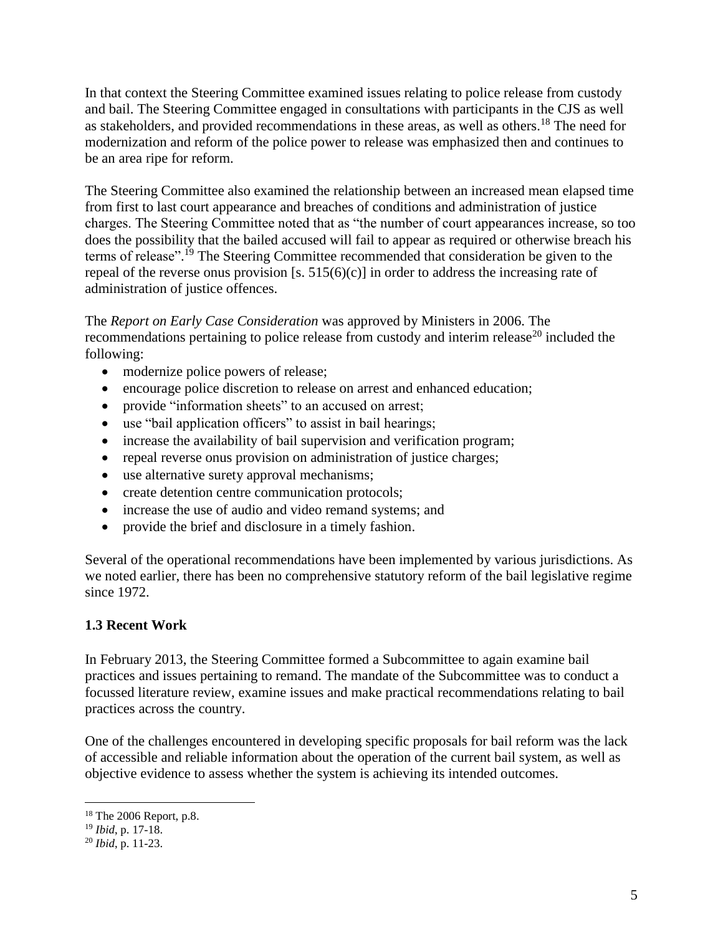In that context the Steering Committee examined issues relating to police release from custody and bail. The Steering Committee engaged in consultations with participants in the CJS as well as stakeholders, and provided recommendations in these areas, as well as others.<sup>18</sup> The need for modernization and reform of the police power to release was emphasized then and continues to be an area ripe for reform.

The Steering Committee also examined the relationship between an increased mean elapsed time from first to last court appearance and breaches of conditions and administration of justice charges. The Steering Committee noted that as "the number of court appearances increase, so too does the possibility that the bailed accused will fail to appear as required or otherwise breach his terms of release". <sup>19</sup> The Steering Committee recommended that consideration be given to the repeal of the reverse onus provision [s.  $515(6)(c)$ ] in order to address the increasing rate of administration of justice offences.

The *Report on Early Case Consideration* was approved by Ministers in 2006. The recommendations pertaining to police release from custody and interim release<sup>20</sup> included the following:

- modernize police powers of release;
- encourage police discretion to release on arrest and enhanced education;
- provide "information sheets" to an accused on arrest;
- use "bail application officers" to assist in bail hearings;
- increase the availability of bail supervision and verification program;
- repeal reverse onus provision on administration of justice charges;
- use alternative surety approval mechanisms;
- create detention centre communication protocols;
- increase the use of audio and video remand systems; and
- provide the brief and disclosure in a timely fashion.

Several of the operational recommendations have been implemented by various jurisdictions. As we noted earlier, there has been no comprehensive statutory reform of the bail legislative regime since 1972.

### <span id="page-6-0"></span>**1.3 Recent Work**

In February 2013, the Steering Committee formed a Subcommittee to again examine bail practices and issues pertaining to remand. The mandate of the Subcommittee was to conduct a focussed literature review, examine issues and make practical recommendations relating to bail practices across the country.

One of the challenges encountered in developing specific proposals for bail reform was the lack of accessible and reliable information about the operation of the current bail system, as well as objective evidence to assess whether the system is achieving its intended outcomes.

<sup>18</sup> The 2006 Report, p.8.

<sup>19</sup> *Ibid*, p. 17-18.

<sup>20</sup> *Ibid*, p. 11-23.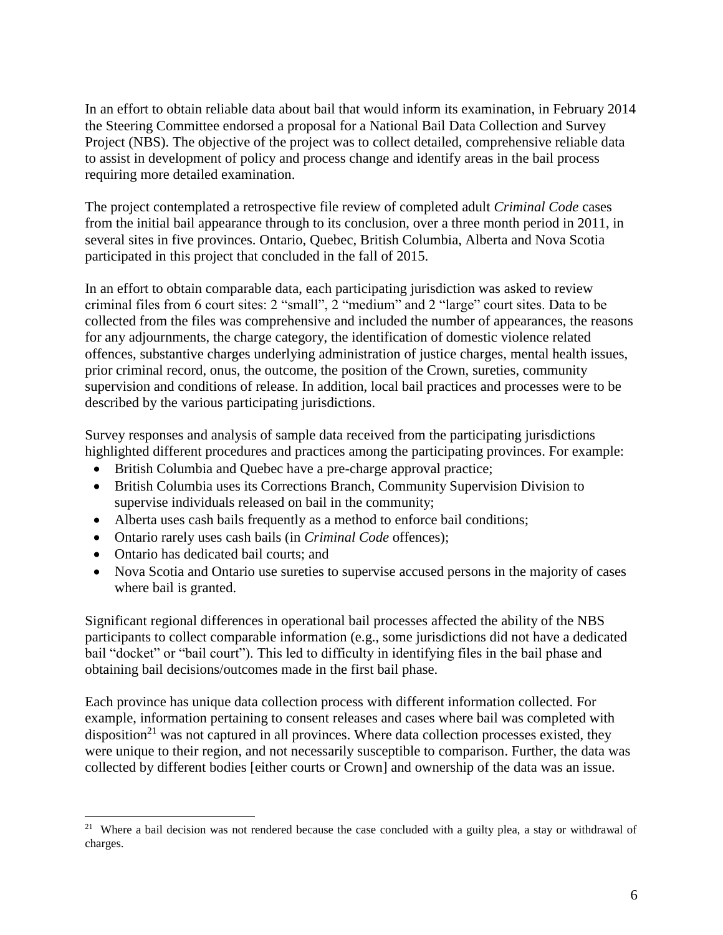In an effort to obtain reliable data about bail that would inform its examination, in February 2014 the Steering Committee endorsed a proposal for a National Bail Data Collection and Survey Project (NBS). The objective of the project was to collect detailed, comprehensive reliable data to assist in development of policy and process change and identify areas in the bail process requiring more detailed examination.

The project contemplated a retrospective file review of completed adult *Criminal Code* cases from the initial bail appearance through to its conclusion, over a three month period in 2011, in several sites in five provinces. Ontario, Quebec, British Columbia, Alberta and Nova Scotia participated in this project that concluded in the fall of 2015.

In an effort to obtain comparable data, each participating jurisdiction was asked to review criminal files from 6 court sites: 2 "small", 2 "medium" and 2 "large" court sites. Data to be collected from the files was comprehensive and included the number of appearances, the reasons for any adjournments, the charge category, the identification of domestic violence related offences, substantive charges underlying administration of justice charges, mental health issues, prior criminal record, onus, the outcome, the position of the Crown, sureties, community supervision and conditions of release. In addition, local bail practices and processes were to be described by the various participating jurisdictions.

Survey responses and analysis of sample data received from the participating jurisdictions highlighted different procedures and practices among the participating provinces. For example:

- British Columbia and Quebec have a pre-charge approval practice;
- British Columbia uses its Corrections Branch, Community Supervision Division to supervise individuals released on bail in the community;
- Alberta uses cash bails frequently as a method to enforce bail conditions;
- Ontario rarely uses cash bails (in *Criminal Code* offences);
- Ontario has dedicated bail courts; and

 $\overline{a}$ 

 Nova Scotia and Ontario use sureties to supervise accused persons in the majority of cases where bail is granted.

Significant regional differences in operational bail processes affected the ability of the NBS participants to collect comparable information (e.g., some jurisdictions did not have a dedicated bail "docket" or "bail court"). This led to difficulty in identifying files in the bail phase and obtaining bail decisions/outcomes made in the first bail phase.

Each province has unique data collection process with different information collected. For example, information pertaining to consent releases and cases where bail was completed with disposition<sup>21</sup> was not captured in all provinces. Where data collection processes existed, they were unique to their region, and not necessarily susceptible to comparison. Further, the data was collected by different bodies [either courts or Crown] and ownership of the data was an issue.

<sup>&</sup>lt;sup>21</sup> Where a bail decision was not rendered because the case concluded with a guilty plea, a stay or withdrawal of charges.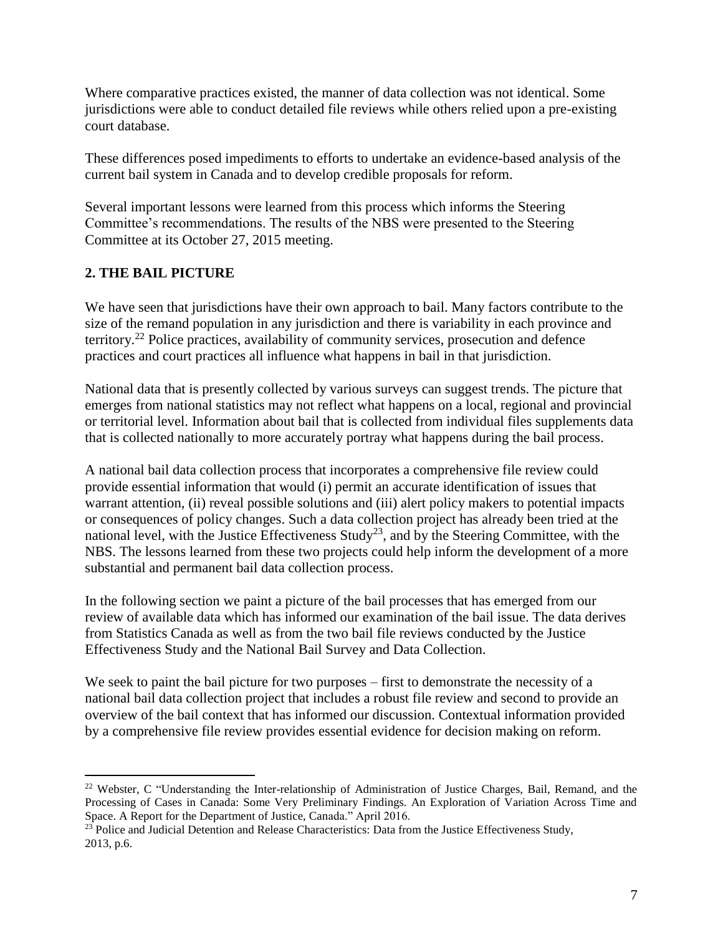Where comparative practices existed, the manner of data collection was not identical. Some jurisdictions were able to conduct detailed file reviews while others relied upon a pre-existing court database.

These differences posed impediments to efforts to undertake an evidence-based analysis of the current bail system in Canada and to develop credible proposals for reform.

Several important lessons were learned from this process which informs the Steering Committee's recommendations. The results of the NBS were presented to the Steering Committee at its October 27, 2015 meeting.

### <span id="page-8-0"></span>**2. THE BAIL PICTURE**

 $\overline{a}$ 

We have seen that jurisdictions have their own approach to bail. Many factors contribute to the size of the remand population in any jurisdiction and there is variability in each province and territory. <sup>22</sup> Police practices, availability of community services, prosecution and defence practices and court practices all influence what happens in bail in that jurisdiction.

National data that is presently collected by various surveys can suggest trends. The picture that emerges from national statistics may not reflect what happens on a local, regional and provincial or territorial level. Information about bail that is collected from individual files supplements data that is collected nationally to more accurately portray what happens during the bail process.

A national bail data collection process that incorporates a comprehensive file review could provide essential information that would (i) permit an accurate identification of issues that warrant attention, (ii) reveal possible solutions and (iii) alert policy makers to potential impacts or consequences of policy changes. Such a data collection project has already been tried at the national level, with the Justice Effectiveness Study<sup>23</sup>, and by the Steering Committee, with the NBS. The lessons learned from these two projects could help inform the development of a more substantial and permanent bail data collection process.

In the following section we paint a picture of the bail processes that has emerged from our review of available data which has informed our examination of the bail issue. The data derives from Statistics Canada as well as from the two bail file reviews conducted by the Justice Effectiveness Study and the National Bail Survey and Data Collection.

We seek to paint the bail picture for two purposes – first to demonstrate the necessity of a national bail data collection project that includes a robust file review and second to provide an overview of the bail context that has informed our discussion. Contextual information provided by a comprehensive file review provides essential evidence for decision making on reform.

<sup>&</sup>lt;sup>22</sup> Webster, C "Understanding the Inter-relationship of Administration of Justice Charges, Bail, Remand, and the Processing of Cases in Canada: Some Very Preliminary Findings. An Exploration of Variation Across Time and Space. A Report for the Department of Justice, Canada." April 2016.

<sup>&</sup>lt;sup>23</sup> Police and Judicial Detention and Release Characteristics: Data from the Justice Effectiveness Study, 2013, p.6.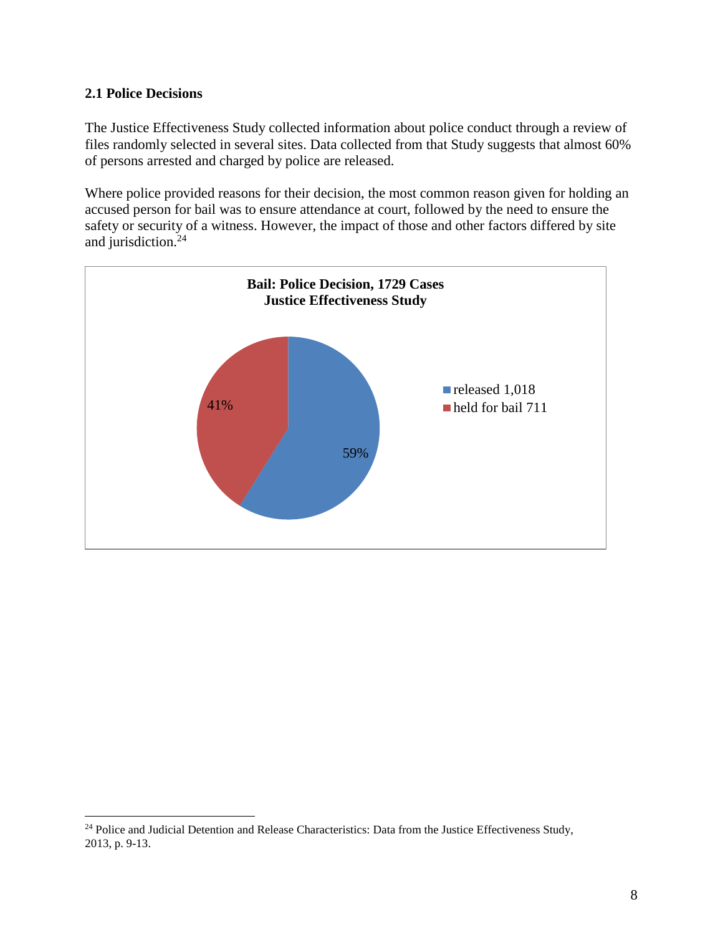#### <span id="page-9-0"></span>**2.1 Police Decisions**

 $\overline{a}$ 

The Justice Effectiveness Study collected information about police conduct through a review of files randomly selected in several sites. Data collected from that Study suggests that almost 60% of persons arrested and charged by police are released.

Where police provided reasons for their decision, the most common reason given for holding an accused person for bail was to ensure attendance at court, followed by the need to ensure the safety or security of a witness. However, the impact of those and other factors differed by site and jurisdiction. 24



<sup>&</sup>lt;sup>24</sup> Police and Judicial Detention and Release Characteristics: Data from the Justice Effectiveness Study, 2013, p. 9-13.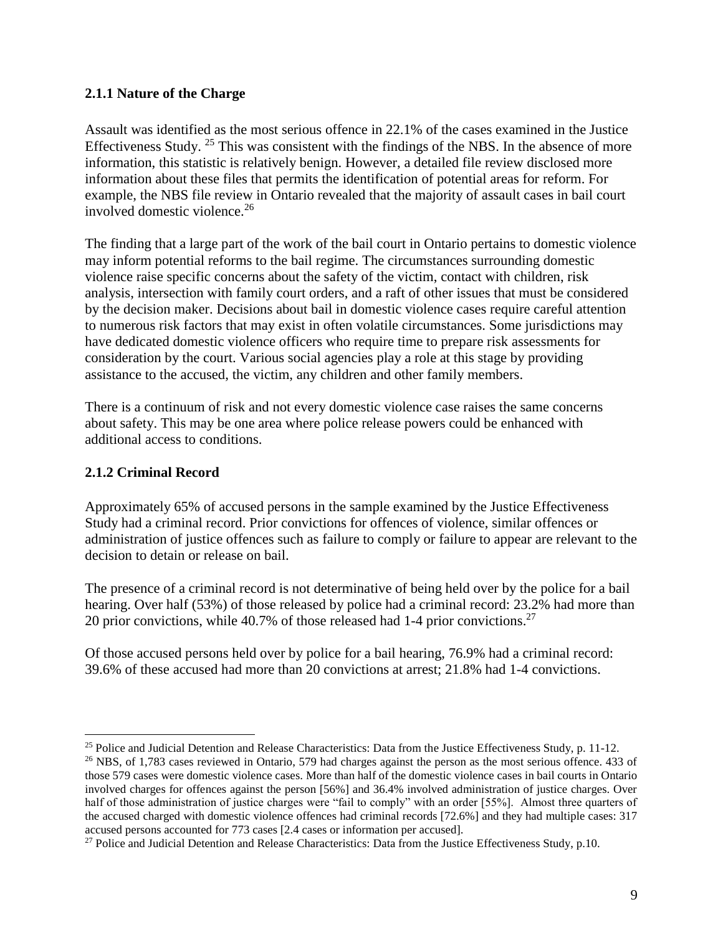#### <span id="page-10-0"></span>**2.1.1 Nature of the Charge**

Assault was identified as the most serious offence in 22.1% of the cases examined in the Justice Effectiveness Study.<sup>25</sup> This was consistent with the findings of the NBS. In the absence of more information, this statistic is relatively benign. However, a detailed file review disclosed more information about these files that permits the identification of potential areas for reform. For example, the NBS file review in Ontario revealed that the majority of assault cases in bail court involved domestic violence. 26

The finding that a large part of the work of the bail court in Ontario pertains to domestic violence may inform potential reforms to the bail regime. The circumstances surrounding domestic violence raise specific concerns about the safety of the victim, contact with children, risk analysis, intersection with family court orders, and a raft of other issues that must be considered by the decision maker. Decisions about bail in domestic violence cases require careful attention to numerous risk factors that may exist in often volatile circumstances. Some jurisdictions may have dedicated domestic violence officers who require time to prepare risk assessments for consideration by the court. Various social agencies play a role at this stage by providing assistance to the accused, the victim, any children and other family members.

There is a continuum of risk and not every domestic violence case raises the same concerns about safety. This may be one area where police release powers could be enhanced with additional access to conditions.

#### <span id="page-10-1"></span>**2.1.2 Criminal Record**

Approximately 65% of accused persons in the sample examined by the Justice Effectiveness Study had a criminal record. Prior convictions for offences of violence, similar offences or administration of justice offences such as failure to comply or failure to appear are relevant to the decision to detain or release on bail.

The presence of a criminal record is not determinative of being held over by the police for a bail hearing. Over half (53%) of those released by police had a criminal record: 23.2% had more than 20 prior convictions, while  $40.7\%$  of those released had 1-4 prior convictions.<sup>27</sup>

Of those accused persons held over by police for a bail hearing, 76.9% had a criminal record: 39.6% of these accused had more than 20 convictions at arrest; 21.8% had 1-4 convictions.

 $\overline{a}$ <sup>25</sup> Police and Judicial Detention and Release Characteristics: Data from the Justice Effectiveness Study, p. 11-12.

<sup>&</sup>lt;sup>26</sup> NBS, of 1,783 cases reviewed in Ontario, 579 had charges against the person as the most serious offence. 433 of those 579 cases were domestic violence cases. More than half of the domestic violence cases in bail courts in Ontario involved charges for offences against the person [56%] and 36.4% involved administration of justice charges. Over half of those administration of justice charges were "fail to comply" with an order [55%]. Almost three quarters of the accused charged with domestic violence offences had criminal records [72.6%] and they had multiple cases: 317 accused persons accounted for 773 cases [2.4 cases or information per accused].

<sup>&</sup>lt;sup>27</sup> Police and Judicial Detention and Release Characteristics: Data from the Justice Effectiveness Study, p.10.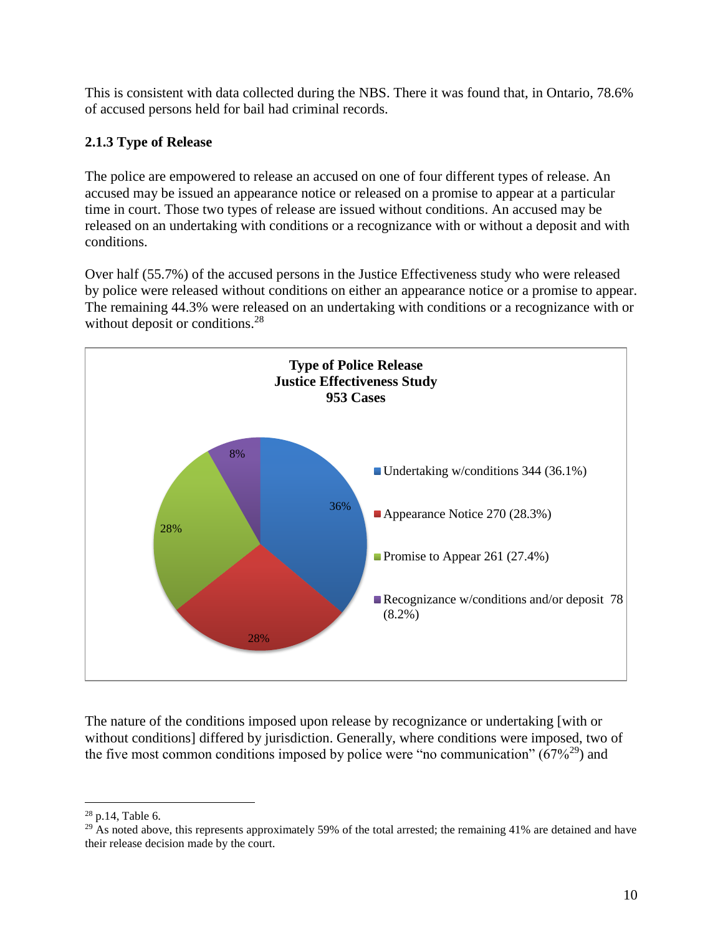This is consistent with data collected during the NBS. There it was found that, in Ontario, 78.6% of accused persons held for bail had criminal records.

### <span id="page-11-0"></span>**2.1.3 Type of Release**

The police are empowered to release an accused on one of four different types of release. An accused may be issued an appearance notice or released on a promise to appear at a particular time in court. Those two types of release are issued without conditions. An accused may be released on an undertaking with conditions or a recognizance with or without a deposit and with conditions.

Over half (55.7%) of the accused persons in the Justice Effectiveness study who were released by police were released without conditions on either an appearance notice or a promise to appear. The remaining 44.3% were released on an undertaking with conditions or a recognizance with or without deposit or conditions.<sup>28</sup>



The nature of the conditions imposed upon release by recognizance or undertaking [with or without conditions] differed by jurisdiction. Generally, where conditions were imposed, two of the five most common conditions imposed by police were "no communication"  $(67\%^{29})$  and

 $\overline{a}$ <sup>28</sup> p.14, Table 6.

<sup>&</sup>lt;sup>29</sup> As noted above, this represents approximately 59% of the total arrested; the remaining 41% are detained and have their release decision made by the court.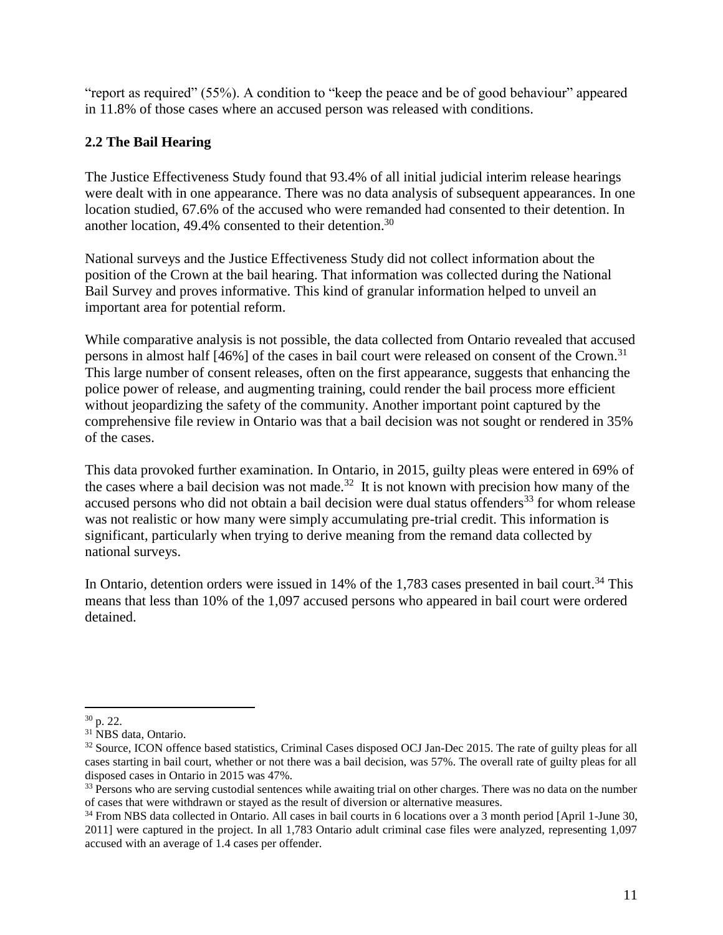"report as required" (55%). A condition to "keep the peace and be of good behaviour" appeared in 11.8% of those cases where an accused person was released with conditions.

### <span id="page-12-0"></span>**2.2 The Bail Hearing**

The Justice Effectiveness Study found that 93.4% of all initial judicial interim release hearings were dealt with in one appearance. There was no data analysis of subsequent appearances. In one location studied, 67.6% of the accused who were remanded had consented to their detention. In another location, 49.4% consented to their detention.<sup>30</sup>

National surveys and the Justice Effectiveness Study did not collect information about the position of the Crown at the bail hearing. That information was collected during the National Bail Survey and proves informative. This kind of granular information helped to unveil an important area for potential reform.

While comparative analysis is not possible, the data collected from Ontario revealed that accused persons in almost half [46%] of the cases in bail court were released on consent of the Crown.<sup>31</sup> This large number of consent releases, often on the first appearance, suggests that enhancing the police power of release, and augmenting training, could render the bail process more efficient without jeopardizing the safety of the community. Another important point captured by the comprehensive file review in Ontario was that a bail decision was not sought or rendered in 35% of the cases.

This data provoked further examination. In Ontario, in 2015, guilty pleas were entered in 69% of the cases where a bail decision was not made.<sup>32</sup> It is not known with precision how many of the accused persons who did not obtain a bail decision were dual status offenders<sup>33</sup> for whom release was not realistic or how many were simply accumulating pre-trial credit. This information is significant, particularly when trying to derive meaning from the remand data collected by national surveys.

In Ontario, detention orders were issued in 14% of the 1,783 cases presented in bail court.<sup>34</sup> This means that less than 10% of the 1,097 accused persons who appeared in bail court were ordered detained.

 $\overline{a}$  $30$  p. 22.

<sup>31</sup> NBS data, Ontario.

<sup>&</sup>lt;sup>32</sup> Source, ICON offence based statistics, Criminal Cases disposed OCJ Jan-Dec 2015. The rate of guilty pleas for all cases starting in bail court, whether or not there was a bail decision, was 57%. The overall rate of guilty pleas for all disposed cases in Ontario in 2015 was 47%.

<sup>&</sup>lt;sup>33</sup> Persons who are serving custodial sentences while awaiting trial on other charges. There was no data on the number of cases that were withdrawn or stayed as the result of diversion or alternative measures.

<sup>34</sup> From NBS data collected in Ontario. All cases in bail courts in 6 locations over a 3 month period [April 1-June 30, 2011] were captured in the project. In all 1,783 Ontario adult criminal case files were analyzed, representing 1,097 accused with an average of 1.4 cases per offender.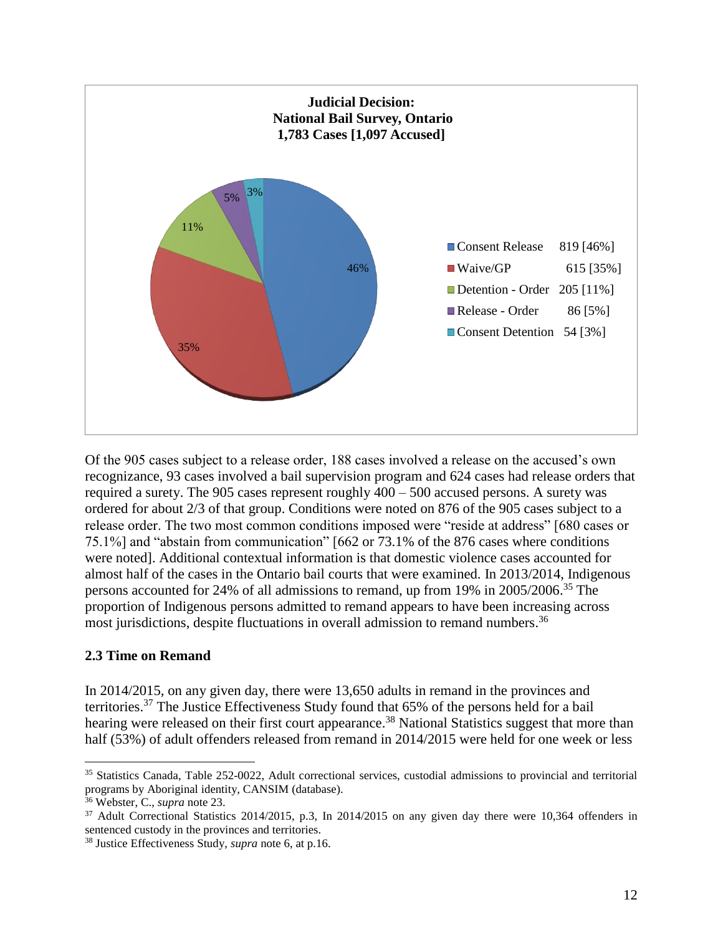

Of the 905 cases subject to a release order, 188 cases involved a release on the accused's own recognizance, 93 cases involved a bail supervision program and 624 cases had release orders that required a surety. The 905 cases represent roughly 400 – 500 accused persons. A surety was ordered for about 2/3 of that group. Conditions were noted on 876 of the 905 cases subject to a release order. The two most common conditions imposed were "reside at address" [680 cases or 75.1%] and "abstain from communication" [662 or 73.1% of the 876 cases where conditions were noted]. Additional contextual information is that domestic violence cases accounted for almost half of the cases in the Ontario bail courts that were examined. In 2013/2014, Indigenous persons accounted for 24% of all admissions to remand, up from 19% in 2005/2006. <sup>35</sup> The proportion of Indigenous persons admitted to remand appears to have been increasing across most jurisdictions, despite fluctuations in overall admission to remand numbers.<sup>36</sup>

#### <span id="page-13-0"></span>**2.3 Time on Remand**

In 2014/2015, on any given day, there were 13,650 adults in remand in the provinces and territories.<sup>37</sup> The Justice Effectiveness Study found that 65% of the persons held for a bail hearing were released on their first court appearance.<sup>38</sup> National Statistics suggest that more than half (53%) of adult offenders released from remand in 2014/2015 were held for one week or less

<sup>&</sup>lt;sup>35</sup> Statistics Canada, Table 252-0022, Adult correctional services, custodial admissions to provincial and territorial programs by Aboriginal identity, CANSIM (database).

<sup>36</sup> Webster, C., *supra* note 23.

<sup>37</sup> Adult Correctional Statistics 2014/2015, p.3, In 2014/2015 on any given day there were 10,364 offenders in sentenced custody in the provinces and territories.

<sup>38</sup> Justice Effectiveness Study, *supra* note 6, at p.16.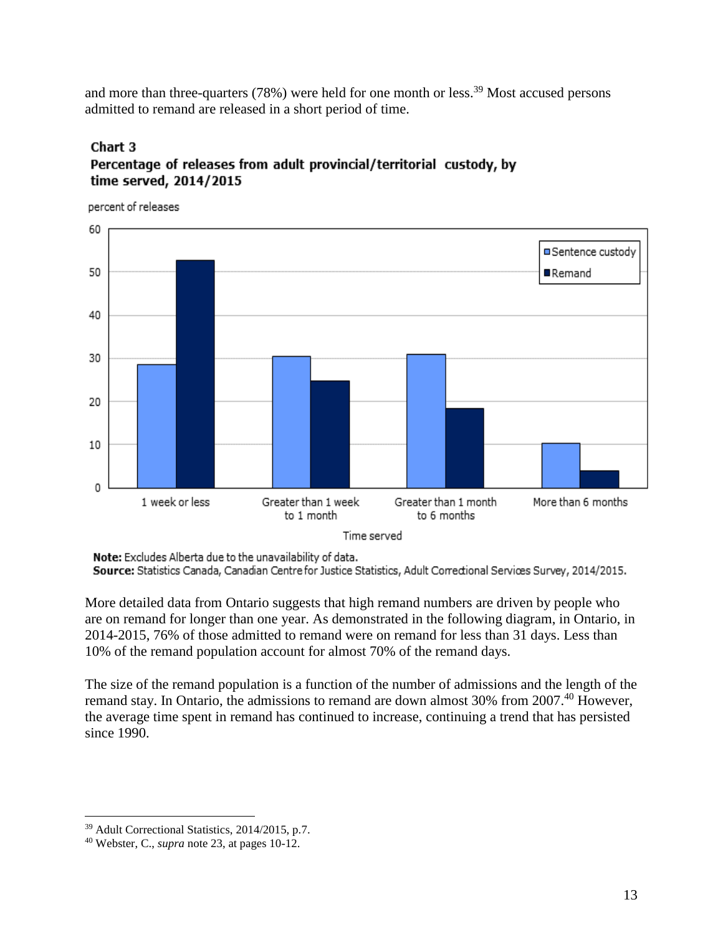and more than three-quarters (78%) were held for one month or less.<sup>39</sup> Most accused persons admitted to remand are released in a short period of time.

### Chart 3 Percentage of releases from adult provincial/territorial custody, by time served, 2014/2015

percent of releases



Note: Excludes Alberta due to the unavailability of data.

Source: Statistics Canada, Canadian Centre for Justice Statistics, Adult Correctional Services Survey, 2014/2015.

More detailed data from Ontario suggests that high remand numbers are driven by people who are on remand for longer than one year. As demonstrated in the following diagram, in Ontario, in 2014-2015, 76% of those admitted to remand were on remand for less than 31 days. Less than 10% of the remand population account for almost 70% of the remand days.

The size of the remand population is a function of the number of admissions and the length of the remand stay. In Ontario, the admissions to remand are down almost 30% from 2007.<sup>40</sup> However, the average time spent in remand has continued to increase, continuing a trend that has persisted since 1990.

<sup>39</sup> Adult Correctional Statistics, 2014/2015, p.7.

<sup>40</sup> Webster, C., *supra* note 23, at pages 10-12.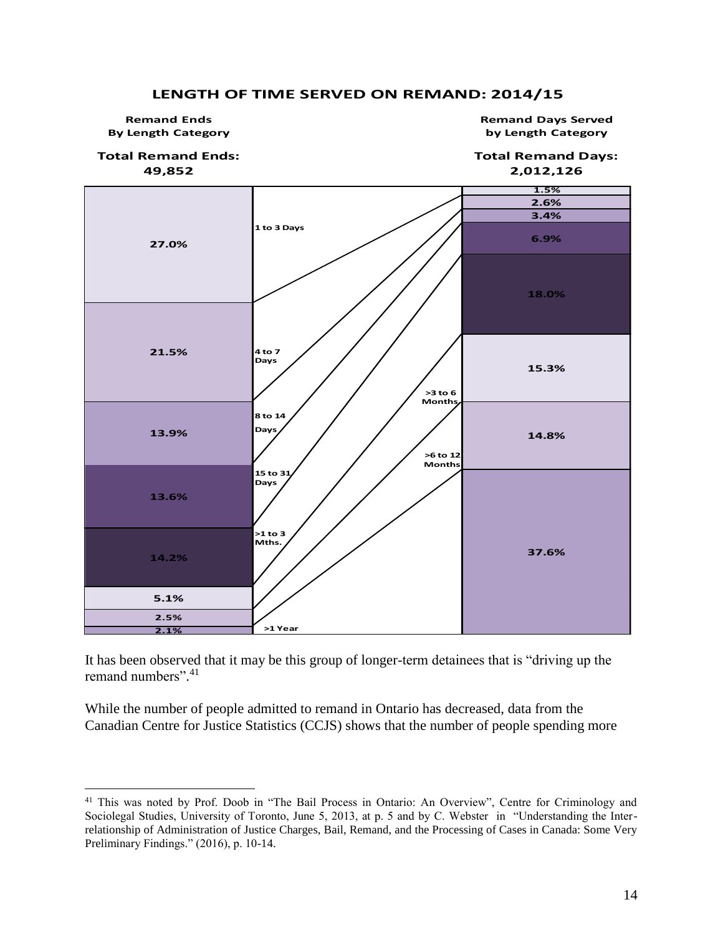#### **14.8% 37.6% 21.5% 13.9% 3.4% 6.9% 18.0% 15.3% Remand Days Served by Length Category >6 to 12 Month 15 to 31 Days 2.1% Remand Ends By Length Category 27.0% 13.6% 14.2% 5.1% 2.5% Days >1 Year >1 to 3 Mths. 8 to 14 >3 to 6 1 to 3 Days 4 to 7 Total Remand Days: 2,012,126 Total Remand Ends: 49,852 Month Days 1.5% 2.6%**

#### **LENGTH OF TIME SERVED ON REMAND: 2014/15**

It has been observed that it may be this group of longer-term detainees that is "driving up the remand numbers".<sup>41</sup>

While the number of people admitted to remand in Ontario has decreased, data from the Canadian Centre for Justice Statistics (CCJS) shows that the number of people spending more

<sup>&</sup>lt;sup>41</sup> This was noted by Prof. Doob in "The Bail Process in Ontario: An Overview", Centre for Criminology and Sociolegal Studies, University of Toronto, June 5, 2013, at p. 5 and by C. Webster in "Understanding the Interrelationship of Administration of Justice Charges, Bail, Remand, and the Processing of Cases in Canada: Some Very Preliminary Findings." (2016), p. 10-14.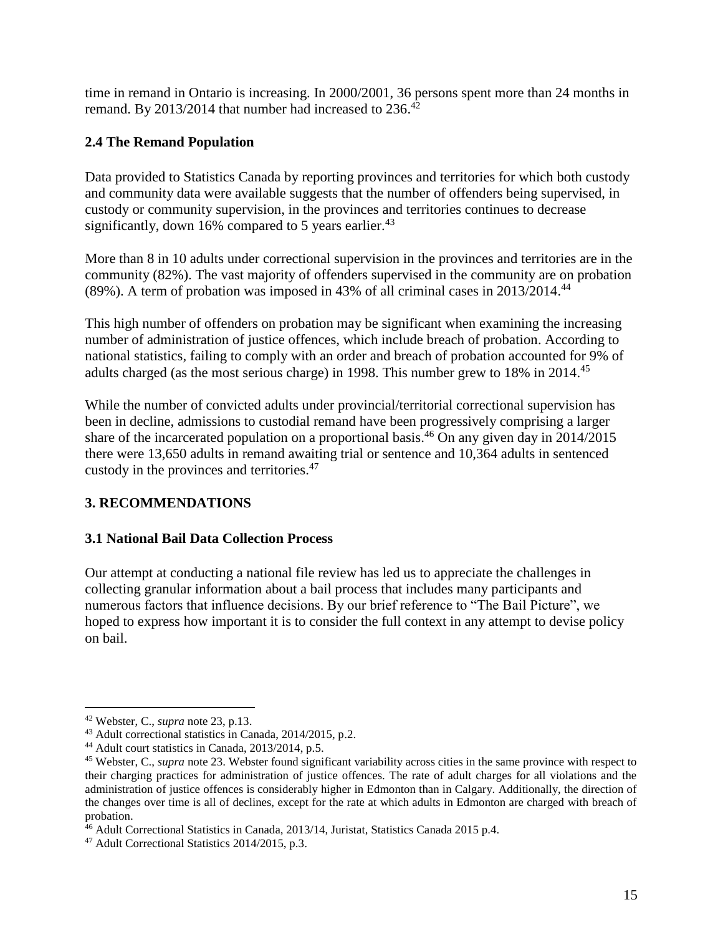time in remand in Ontario is increasing. In 2000/2001, 36 persons spent more than 24 months in remand. By 2013/2014 that number had increased to  $236$ .<sup>42</sup>

### <span id="page-16-0"></span>**2.4 The Remand Population**

Data provided to Statistics Canada by reporting provinces and territories for which both custody and community data were available suggests that the number of offenders being supervised, in custody or community supervision, in the provinces and territories continues to decrease significantly, down 16% compared to 5 years earlier.<sup>43</sup>

More than 8 in 10 adults under correctional supervision in the provinces and territories are in the community (82%). The vast majority of offenders supervised in the community are on probation (89%). A term of probation was imposed in 43% of all criminal cases in 2013/2014. 44

This high number of offenders on probation may be significant when examining the increasing number of administration of justice offences, which include breach of probation. According to national statistics, failing to comply with an order and breach of probation accounted for 9% of adults charged (as the most serious charge) in 1998. This number grew to 18% in 2014.<sup>45</sup>

While the number of convicted adults under provincial/territorial correctional supervision has been in decline, admissions to custodial remand have been progressively comprising a larger share of the incarcerated population on a proportional basis.<sup>46</sup> On any given day in 2014/2015 there were 13,650 adults in remand awaiting trial or sentence and 10,364 adults in sentenced custody in the provinces and territories.<sup>47</sup>

### <span id="page-16-1"></span>**3. RECOMMENDATIONS**

#### <span id="page-16-2"></span>**3.1 National Bail Data Collection Process**

Our attempt at conducting a national file review has led us to appreciate the challenges in collecting granular information about a bail process that includes many participants and numerous factors that influence decisions. By our brief reference to "The Bail Picture", we hoped to express how important it is to consider the full context in any attempt to devise policy on bail.

<sup>42</sup> Webster, C., *supra* note 23, p.13.

<sup>43</sup> Adult correctional statistics in Canada, 2014/2015, p.2.

<sup>44</sup> Adult court statistics in Canada, 2013/2014, p.5.

<sup>45</sup> Webster, C., *supra* note 23. Webster found significant variability across cities in the same province with respect to their charging practices for administration of justice offences. The rate of adult charges for all violations and the administration of justice offences is considerably higher in Edmonton than in Calgary. Additionally, the direction of the changes over time is all of declines, except for the rate at which adults in Edmonton are charged with breach of probation.

<sup>&</sup>lt;sup>46</sup> Adult Correctional Statistics in Canada, 2013/14, Juristat, Statistics Canada 2015 p.4.

<sup>47</sup> Adult Correctional Statistics 2014/2015, p.3.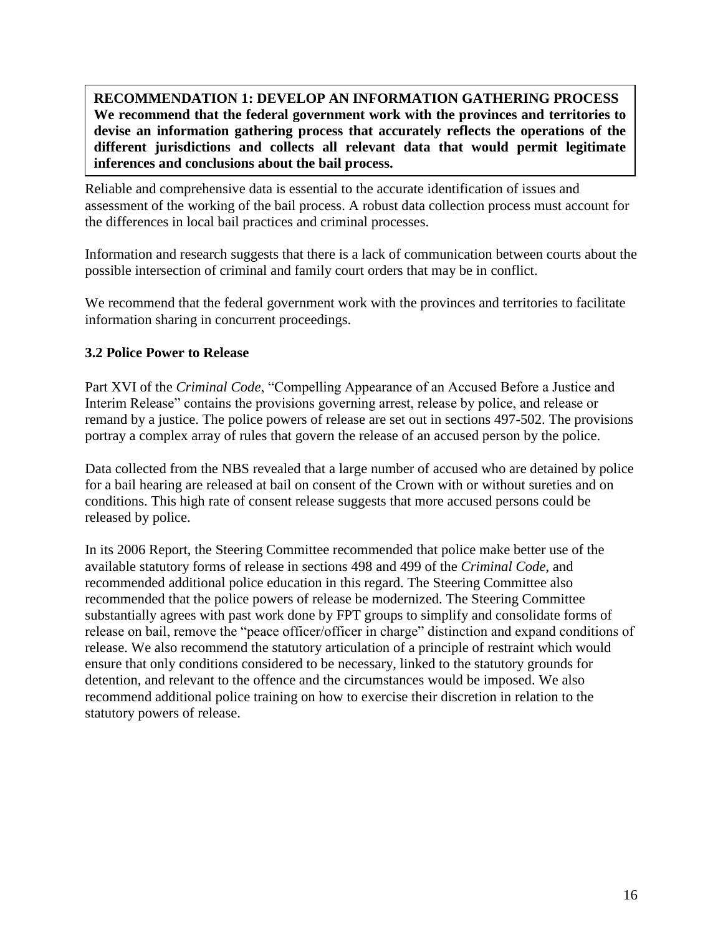**RECOMMENDATION 1: DEVELOP AN INFORMATION GATHERING PROCESS We recommend that the federal government work with the provinces and territories to devise an information gathering process that accurately reflects the operations of the different jurisdictions and collects all relevant data that would permit legitimate inferences and conclusions about the bail process.**

Reliable and comprehensive data is essential to the accurate identification of issues and assessment of the working of the bail process. A robust data collection process must account for the differences in local bail practices and criminal processes.

Information and research suggests that there is a lack of communication between courts about the possible intersection of criminal and family court orders that may be in conflict.

We recommend that the federal government work with the provinces and territories to facilitate information sharing in concurrent proceedings.

#### <span id="page-17-0"></span>**3.2 Police Power to Release**

Part XVI of the *Criminal Code*, "Compelling Appearance of an Accused Before a Justice and Interim Release" contains the provisions governing arrest, release by police, and release or remand by a justice. The police powers of release are set out in sections 497-502. The provisions portray a complex array of rules that govern the release of an accused person by the police.

Data collected from the NBS revealed that a large number of accused who are detained by police for a bail hearing are released at bail on consent of the Crown with or without sureties and on conditions. This high rate of consent release suggests that more accused persons could be released by police.

In its 2006 Report, the Steering Committee recommended that police make better use of the available statutory forms of release in sections 498 and 499 of the *Criminal Code*, and recommended additional police education in this regard. The Steering Committee also recommended that the police powers of release be modernized. The Steering Committee substantially agrees with past work done by FPT groups to simplify and consolidate forms of release on bail, remove the "peace officer/officer in charge" distinction and expand conditions of release. We also recommend the statutory articulation of a principle of restraint which would ensure that only conditions considered to be necessary, linked to the statutory grounds for detention, and relevant to the offence and the circumstances would be imposed. We also recommend additional police training on how to exercise their discretion in relation to the statutory powers of release.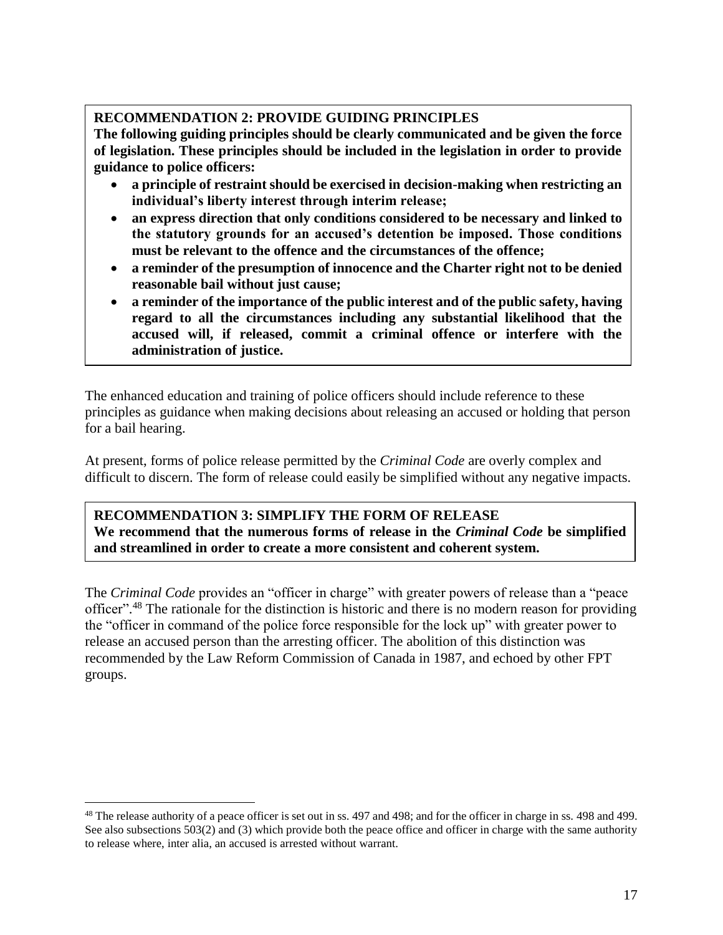### **RECOMMENDATION 2: PROVIDE GUIDING PRINCIPLES**

**The following guiding principles should be clearly communicated and be given the force of legislation. These principles should be included in the legislation in order to provide guidance to police officers:** 

- **a principle of restraint should be exercised in decision-making when restricting an individual's liberty interest through interim release;**
- **an express direction that only conditions considered to be necessary and linked to the statutory grounds for an accused's detention be imposed. Those conditions must be relevant to the offence and the circumstances of the offence;**
- **a reminder of the presumption of innocence and the Charter right not to be denied reasonable bail without just cause;**
- **a reminder of the importance of the public interest and of the public safety, having regard to all the circumstances including any substantial likelihood that the accused will, if released, commit a criminal offence or interfere with the administration of justice.**

The enhanced education and training of police officers should include reference to these principles as guidance when making decisions about releasing an accused or holding that person for a bail hearing.

At present, forms of police release permitted by the *Criminal Code* are overly complex and difficult to discern. The form of release could easily be simplified without any negative impacts.

## **RECOMMENDATION 3: SIMPLIFY THE FORM OF RELEASE**

**We recommend that the numerous forms of release in the** *Criminal Code* **be simplified and streamlined in order to create a more consistent and coherent system.**

The *Criminal Code* provides an "officer in charge" with greater powers of release than a "peace officer".<sup>48</sup> The rationale for the distinction is historic and there is no modern reason for providing the "officer in command of the police force responsible for the lock up" with greater power to release an accused person than the arresting officer. The abolition of this distinction was recommended by the Law Reform Commission of Canada in 1987, and echoed by other FPT groups.

<sup>&</sup>lt;sup>48</sup> The release authority of a peace officer is set out in ss. 497 and 498; and for the officer in charge in ss. 498 and 499. See also subsections 503(2) and (3) which provide both the peace office and officer in charge with the same authority to release where, inter alia, an accused is arrested without warrant.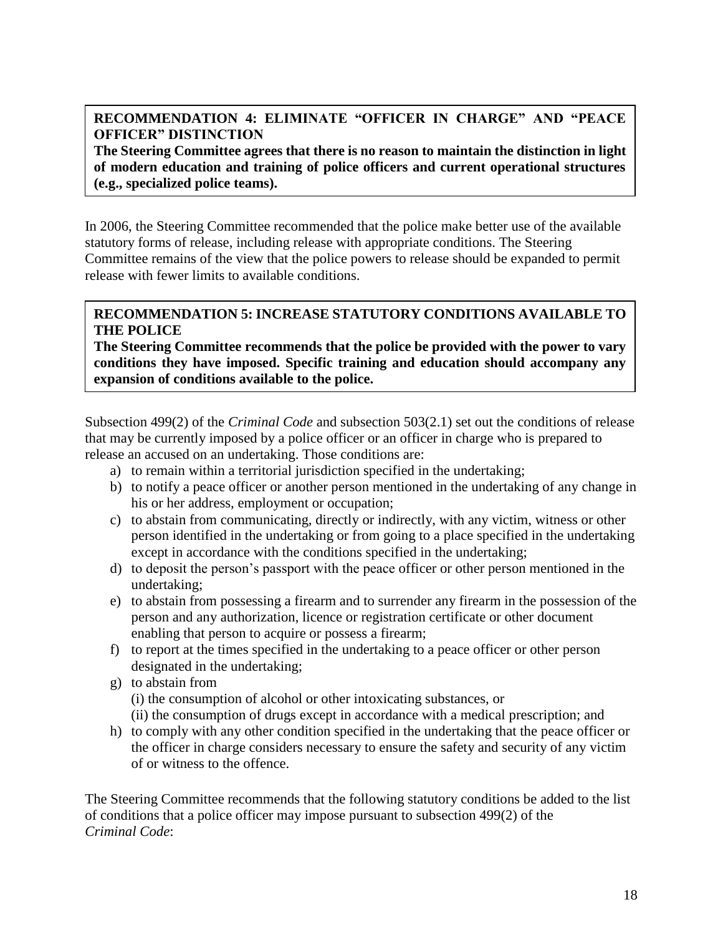### **RECOMMENDATION 4: ELIMINATE "OFFICER IN CHARGE" AND "PEACE OFFICER" DISTINCTION**

**The Steering Committee agrees that there is no reason to maintain the distinction in light of modern education and training of police officers and current operational structures (e.g., specialized police teams).**

In 2006, the Steering Committee recommended that the police make better use of the available statutory forms of release, including release with appropriate conditions. The Steering Committee remains of the view that the police powers to release should be expanded to permit release with fewer limits to available conditions.

### **RECOMMENDATION 5: INCREASE STATUTORY CONDITIONS AVAILABLE TO THE POLICE**

**The Steering Committee recommends that the police be provided with the power to vary conditions they have imposed. Specific training and education should accompany any expansion of conditions available to the police.**

Subsection 499(2) of the *Criminal Code* and subsection 503(2.1) set out the conditions of release that may be currently imposed by a police officer or an officer in charge who is prepared to release an accused on an undertaking. Those conditions are:

- a) to remain within a territorial jurisdiction specified in the undertaking;
- b) to notify a peace officer or another person mentioned in the undertaking of any change in his or her address, employment or occupation;
- c) to abstain from communicating, directly or indirectly, with any victim, witness or other person identified in the undertaking or from going to a place specified in the undertaking except in accordance with the conditions specified in the undertaking;
- d) to deposit the person's passport with the peace officer or other person mentioned in the undertaking;
- e) to abstain from possessing a firearm and to surrender any firearm in the possession of the person and any authorization, licence or registration certificate or other document enabling that person to acquire or possess a firearm;
- f) to report at the times specified in the undertaking to a peace officer or other person designated in the undertaking;
- g) to abstain from

(i) the consumption of alcohol or other intoxicating substances, or

- (ii) the consumption of drugs except in accordance with a medical prescription; and
- h) to comply with any other condition specified in the undertaking that the peace officer or the officer in charge considers necessary to ensure the safety and security of any victim of or witness to the offence.

The Steering Committee recommends that the following statutory conditions be added to the list of conditions that a police officer may impose pursuant to subsection 499(2) of the *Criminal Code*: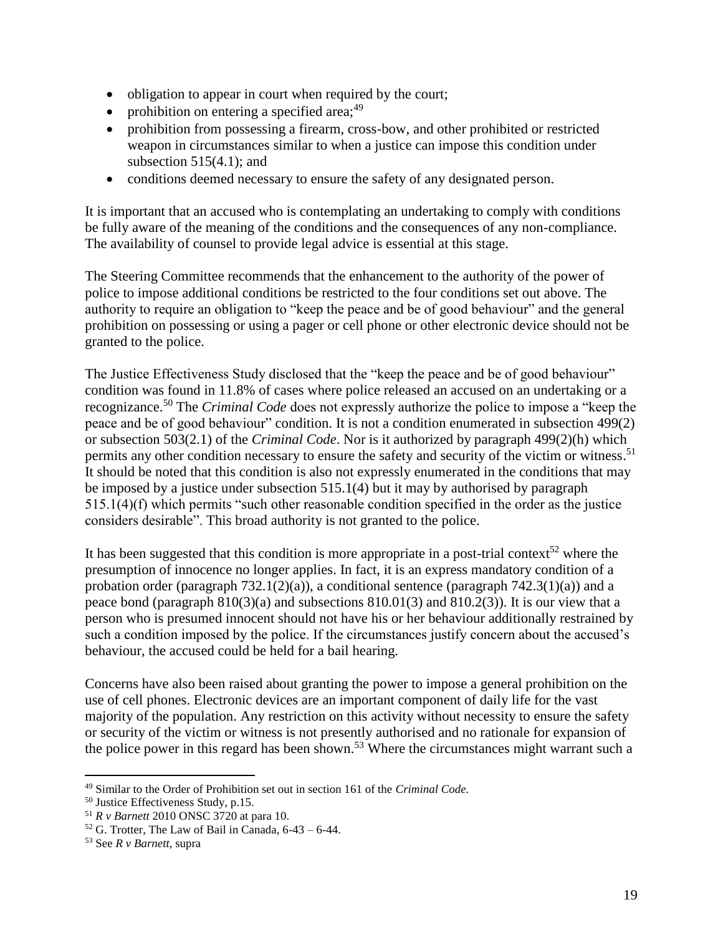- obligation to appear in court when required by the court;
- prohibition on entering a specified area; $49$
- prohibition from possessing a firearm, cross-bow, and other prohibited or restricted weapon in circumstances similar to when a justice can impose this condition under subsection  $515(4.1)$ ; and
- conditions deemed necessary to ensure the safety of any designated person.

It is important that an accused who is contemplating an undertaking to comply with conditions be fully aware of the meaning of the conditions and the consequences of any non-compliance. The availability of counsel to provide legal advice is essential at this stage.

The Steering Committee recommends that the enhancement to the authority of the power of police to impose additional conditions be restricted to the four conditions set out above. The authority to require an obligation to "keep the peace and be of good behaviour" and the general prohibition on possessing or using a pager or cell phone or other electronic device should not be granted to the police.

The Justice Effectiveness Study disclosed that the "keep the peace and be of good behaviour" condition was found in 11.8% of cases where police released an accused on an undertaking or a recognizance. <sup>50</sup> The *Criminal Code* does not expressly authorize the police to impose a "keep the peace and be of good behaviour" condition. It is not a condition enumerated in subsection 499(2) or subsection 503(2.1) of the *Criminal Code*. Nor is it authorized by paragraph 499(2)(h) which permits any other condition necessary to ensure the safety and security of the victim or witness.<sup>51</sup> It should be noted that this condition is also not expressly enumerated in the conditions that may be imposed by a justice under subsection 515.1(4) but it may by authorised by paragraph 515.1(4)(f) which permits "such other reasonable condition specified in the order as the justice considers desirable". This broad authority is not granted to the police.

It has been suggested that this condition is more appropriate in a post-trial context<sup>52</sup> where the presumption of innocence no longer applies. In fact, it is an express mandatory condition of a probation order (paragraph  $732.1(2)(a)$ ), a conditional sentence (paragraph  $742.3(1)(a)$ ) and a peace bond (paragraph 810(3)(a) and subsections 810.01(3) and 810.2(3)). It is our view that a person who is presumed innocent should not have his or her behaviour additionally restrained by such a condition imposed by the police. If the circumstances justify concern about the accused's behaviour, the accused could be held for a bail hearing.

Concerns have also been raised about granting the power to impose a general prohibition on the use of cell phones. Electronic devices are an important component of daily life for the vast majority of the population. Any restriction on this activity without necessity to ensure the safety or security of the victim or witness is not presently authorised and no rationale for expansion of the police power in this regard has been shown.<sup>53</sup> Where the circumstances might warrant such a

<sup>49</sup> Similar to the Order of Prohibition set out in section 161 of the *Criminal Code.*

<sup>50</sup> Justice Effectiveness Study, p.15.

<sup>51</sup> *R v Barnett* 2010 ONSC 3720 at para 10.

 $52$  G. Trotter, The Law of Bail in Canada,  $6-43-6-44$ .

<sup>53</sup> See *R v Barnett,* supra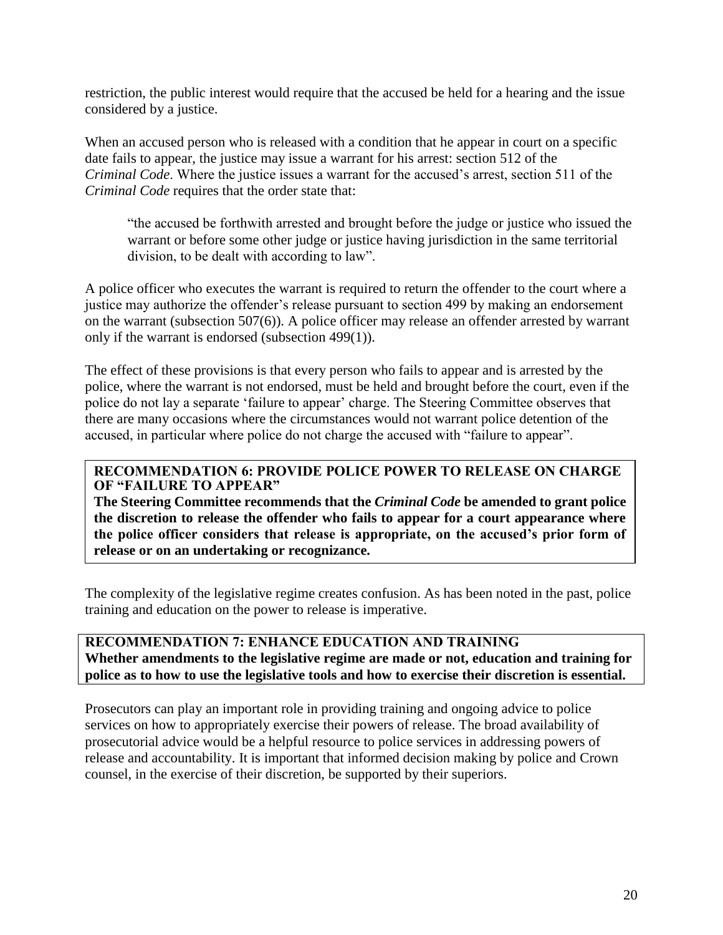restriction, the public interest would require that the accused be held for a hearing and the issue considered by a justice.

When an accused person who is released with a condition that he appear in court on a specific date fails to appear, the justice may issue a warrant for his arrest: section 512 of the *Criminal Code*. Where the justice issues a warrant for the accused's arrest, section 511 of the *Criminal Code* requires that the order state that:

"the accused be forthwith arrested and brought before the judge or justice who issued the warrant or before some other judge or justice having jurisdiction in the same territorial division, to be dealt with according to law".

A police officer who executes the warrant is required to return the offender to the court where a justice may authorize the offender's release pursuant to section 499 by making an endorsement on the warrant (subsection 507(6)). A police officer may release an offender arrested by warrant only if the warrant is endorsed (subsection 499(1)).

The effect of these provisions is that every person who fails to appear and is arrested by the police, where the warrant is not endorsed, must be held and brought before the court, even if the police do not lay a separate 'failure to appear' charge. The Steering Committee observes that there are many occasions where the circumstances would not warrant police detention of the accused, in particular where police do not charge the accused with "failure to appear".

#### **RECOMMENDATION 6: PROVIDE POLICE POWER TO RELEASE ON CHARGE OF "FAILURE TO APPEAR"**

**The Steering Committee recommends that the** *Criminal Code* **be amended to grant police the discretion to release the offender who fails to appear for a court appearance where the police officer considers that release is appropriate, on the accused's prior form of release or on an undertaking or recognizance.**

The complexity of the legislative regime creates confusion. As has been noted in the past, police training and education on the power to release is imperative.

**RECOMMENDATION 7: ENHANCE EDUCATION AND TRAINING Whether amendments to the legislative regime are made or not, education and training for police as to how to use the legislative tools and how to exercise their discretion is essential.** 

<span id="page-21-0"></span>Prosecutors can play an important role in providing training and ongoing advice to police services on how to appropriately exercise their powers of release. The broad availability of prosecutorial advice would be a helpful resource to police services in addressing powers of release and accountability. It is important that informed decision making by police and Crown counsel, in the exercise of their discretion, be supported by their superiors.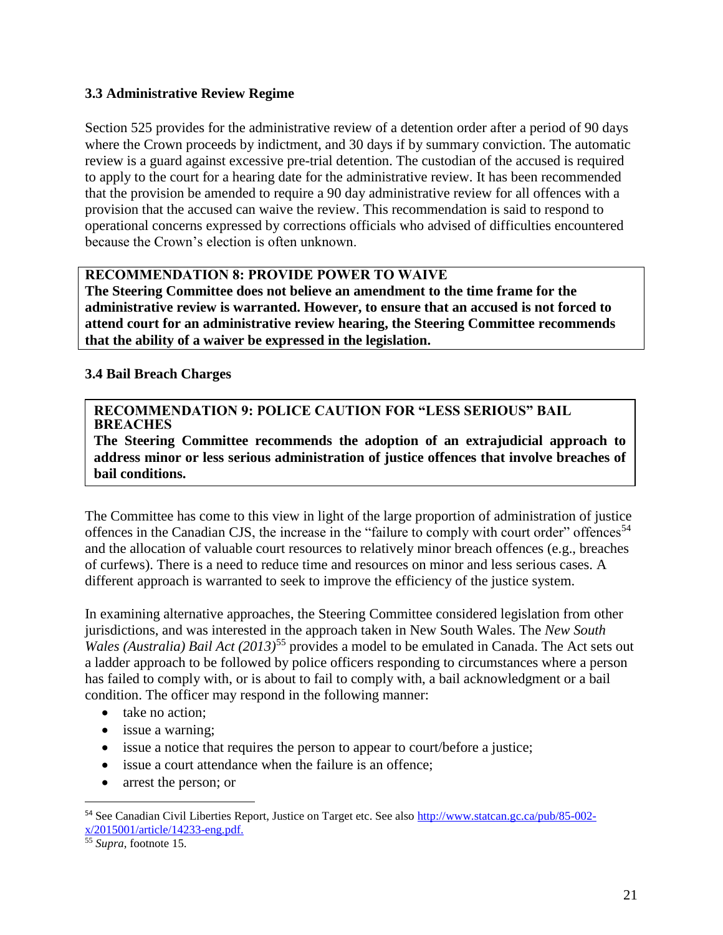#### **3.3 Administrative Review Regime**

Section 525 provides for the administrative review of a detention order after a period of 90 days where the Crown proceeds by indictment, and 30 days if by summary conviction. The automatic review is a guard against excessive pre-trial detention. The custodian of the accused is required to apply to the court for a hearing date for the administrative review. It has been recommended that the provision be amended to require a 90 day administrative review for all offences with a provision that the accused can waive the review. This recommendation is said to respond to operational concerns expressed by corrections officials who advised of difficulties encountered because the Crown's election is often unknown.

### **RECOMMENDATION 8: PROVIDE POWER TO WAIVE**

**The Steering Committee does not believe an amendment to the time frame for the administrative review is warranted. However, to ensure that an accused is not forced to attend court for an administrative review hearing, the Steering Committee recommends that the ability of a waiver be expressed in the legislation.**

#### <span id="page-22-0"></span>**3.4 Bail Breach Charges**

#### **RECOMMENDATION 9: POLICE CAUTION FOR "LESS SERIOUS" BAIL BREACHES**

**The Steering Committee recommends the adoption of an extrajudicial approach to address minor or less serious administration of justice offences that involve breaches of bail conditions.** 

The Committee has come to this view in light of the large proportion of administration of justice offences in the Canadian CJS, the increase in the "failure to comply with court order" offences<sup>54</sup> and the allocation of valuable court resources to relatively minor breach offences (e.g., breaches of curfews). There is a need to reduce time and resources on minor and less serious cases. A different approach is warranted to seek to improve the efficiency of the justice system.

In examining alternative approaches, the Steering Committee considered legislation from other jurisdictions, and was interested in the approach taken in New South Wales. The *New South Wales (Australia) Bail Act (2013)*<sup>55</sup> provides a model to be emulated in Canada. The Act sets out a ladder approach to be followed by police officers responding to circumstances where a person has failed to comply with, or is about to fail to comply with, a bail acknowledgment or a bail condition. The officer may respond in the following manner:

- take no action;
- issue a warning;
- issue a notice that requires the person to appear to court/before a justice;
- issue a court attendance when the failure is an offence;
- arrest the person; or

<sup>54</sup> See Canadian Civil Liberties Report, Justice on Target etc. See also [http://www.statcan.gc.ca/pub/85-002](http://www.statcan.gc.ca/pub/85-002-x/2015001/article/14233-eng.pdf) [x/2015001/article/14233-eng.pdf.](http://www.statcan.gc.ca/pub/85-002-x/2015001/article/14233-eng.pdf)

<sup>55</sup> *Supra*, footnote 15.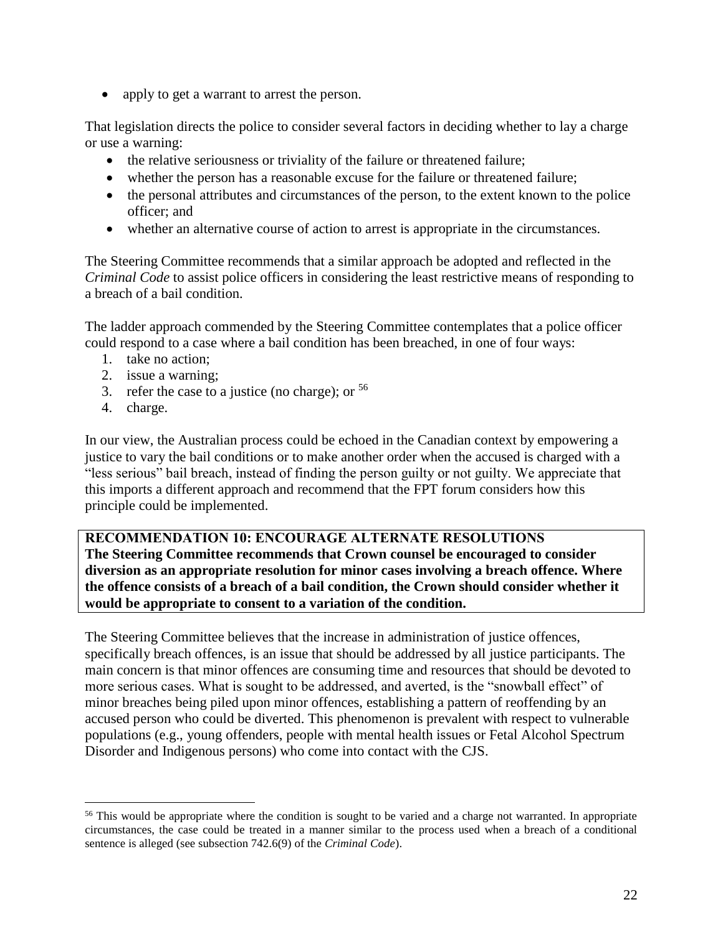• apply to get a warrant to arrest the person.

That legislation directs the police to consider several factors in deciding whether to lay a charge or use a warning:

- the relative seriousness or triviality of the failure or threatened failure;
- whether the person has a reasonable excuse for the failure or threatened failure;
- the personal attributes and circumstances of the person, to the extent known to the police officer; and
- whether an alternative course of action to arrest is appropriate in the circumstances.

The Steering Committee recommends that a similar approach be adopted and reflected in the *Criminal Code* to assist police officers in considering the least restrictive means of responding to a breach of a bail condition.

The ladder approach commended by the Steering Committee contemplates that a police officer could respond to a case where a bail condition has been breached, in one of four ways:

- 1. take no action;
- 2. issue a warning;
- 3. refer the case to a justice (no charge); or  $56$
- 4. charge.

 $\overline{a}$ 

In our view, the Australian process could be echoed in the Canadian context by empowering a justice to vary the bail conditions or to make another order when the accused is charged with a "less serious" bail breach, instead of finding the person guilty or not guilty. We appreciate that this imports a different approach and recommend that the FPT forum considers how this principle could be implemented.

**RECOMMENDATION 10: ENCOURAGE ALTERNATE RESOLUTIONS The Steering Committee recommends that Crown counsel be encouraged to consider diversion as an appropriate resolution for minor cases involving a breach offence. Where the offence consists of a breach of a bail condition, the Crown should consider whether it would be appropriate to consent to a variation of the condition.**

The Steering Committee believes that the increase in administration of justice offences, specifically breach offences, is an issue that should be addressed by all justice participants. The main concern is that minor offences are consuming time and resources that should be devoted to more serious cases. What is sought to be addressed, and averted, is the "snowball effect" of minor breaches being piled upon minor offences, establishing a pattern of reoffending by an accused person who could be diverted. This phenomenon is prevalent with respect to vulnerable populations (e.g., young offenders, people with mental health issues or Fetal Alcohol Spectrum Disorder and Indigenous persons) who come into contact with the CJS.

<sup>&</sup>lt;sup>56</sup> This would be appropriate where the condition is sought to be varied and a charge not warranted. In appropriate circumstances, the case could be treated in a manner similar to the process used when a breach of a conditional sentence is alleged (see subsection 742.6(9) of the *Criminal Code*).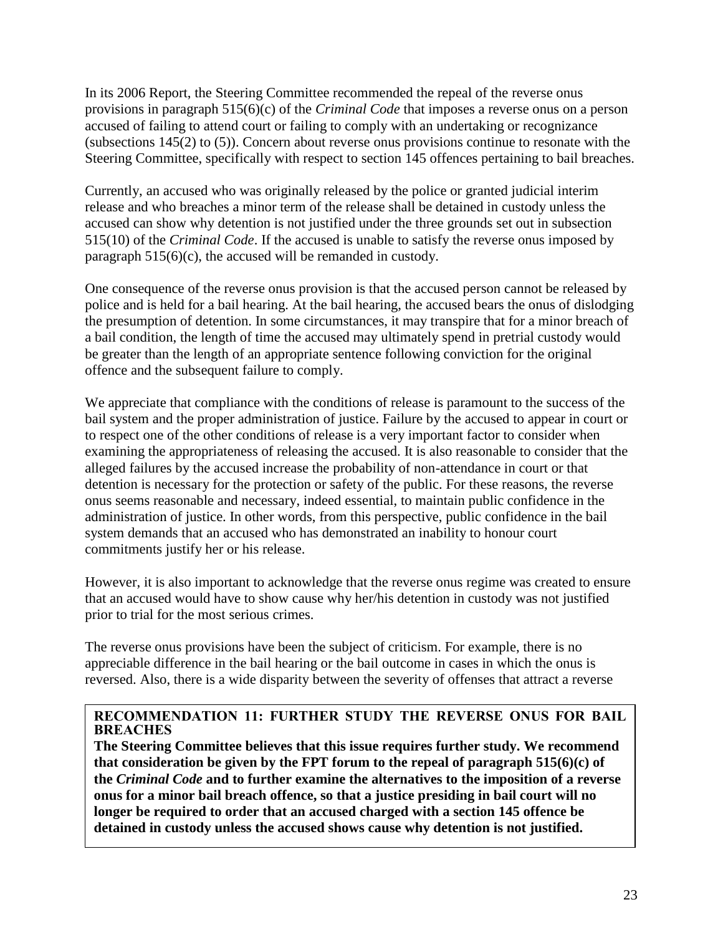In its 2006 Report, the Steering Committee recommended the repeal of the reverse onus provisions in paragraph 515(6)(c) of the *Criminal Code* that imposes a reverse onus on a person accused of failing to attend court or failing to comply with an undertaking or recognizance (subsections 145(2) to (5)). Concern about reverse onus provisions continue to resonate with the Steering Committee, specifically with respect to section 145 offences pertaining to bail breaches.

Currently, an accused who was originally released by the police or granted judicial interim release and who breaches a minor term of the release shall be detained in custody unless the accused can show why detention is not justified under the three grounds set out in subsection 515(10) of the *Criminal Code*. If the accused is unable to satisfy the reverse onus imposed by paragraph 515(6)(c), the accused will be remanded in custody.

One consequence of the reverse onus provision is that the accused person cannot be released by police and is held for a bail hearing. At the bail hearing, the accused bears the onus of dislodging the presumption of detention. In some circumstances, it may transpire that for a minor breach of a bail condition, the length of time the accused may ultimately spend in pretrial custody would be greater than the length of an appropriate sentence following conviction for the original offence and the subsequent failure to comply.

We appreciate that compliance with the conditions of release is paramount to the success of the bail system and the proper administration of justice. Failure by the accused to appear in court or to respect one of the other conditions of release is a very important factor to consider when examining the appropriateness of releasing the accused. It is also reasonable to consider that the alleged failures by the accused increase the probability of non-attendance in court or that detention is necessary for the protection or safety of the public. For these reasons, the reverse onus seems reasonable and necessary, indeed essential, to maintain public confidence in the administration of justice. In other words, from this perspective, public confidence in the bail system demands that an accused who has demonstrated an inability to honour court commitments justify her or his release.

However, it is also important to acknowledge that the reverse onus regime was created to ensure that an accused would have to show cause why her/his detention in custody was not justified prior to trial for the most serious crimes.

The reverse onus provisions have been the subject of criticism. For example, there is no appreciable difference in the bail hearing or the bail outcome in cases in which the onus is reversed. Also, there is a wide disparity between the severity of offenses that attract a reverse

#### **RECOMMENDATION 11: FURTHER STUDY THE REVERSE ONUS FOR BAIL BREACHES**

**The Steering Committee believes that this issue requires further study. We recommend that consideration be given by the FPT forum to the repeal of paragraph 515(6)(c) of the** *Criminal Code* **and to further examine the alternatives to the imposition of a reverse onus for a minor bail breach offence, so that a justice presiding in bail court will no longer be required to order that an accused charged with a section 145 offence be detained in custody unless the accused shows cause why detention is not justified.**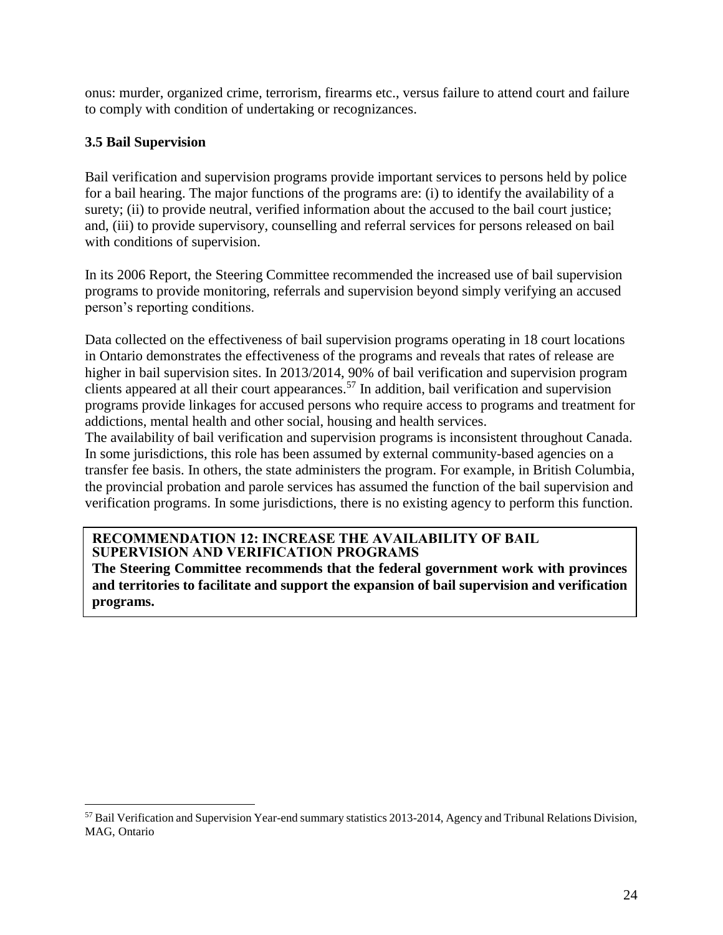onus: murder, organized crime, terrorism, firearms etc., versus failure to attend court and failure to comply with condition of undertaking or recognizances.

### <span id="page-25-0"></span>**3.5 Bail Supervision**

 $\overline{a}$ 

Bail verification and supervision programs provide important services to persons held by police for a bail hearing. The major functions of the programs are: (i) to identify the availability of a surety; (ii) to provide neutral, verified information about the accused to the bail court justice; and, (iii) to provide supervisory, counselling and referral services for persons released on bail with conditions of supervision.

In its 2006 Report, the Steering Committee recommended the increased use of bail supervision programs to provide monitoring, referrals and supervision beyond simply verifying an accused person's reporting conditions.

Data collected on the effectiveness of bail supervision programs operating in 18 court locations in Ontario demonstrates the effectiveness of the programs and reveals that rates of release are higher in bail supervision sites. In 2013/2014, 90% of bail verification and supervision program clients appeared at all their court appearances. <sup>57</sup> In addition, bail verification and supervision programs provide linkages for accused persons who require access to programs and treatment for addictions, mental health and other social, housing and health services.

The availability of bail verification and supervision programs is inconsistent throughout Canada. In some jurisdictions, this role has been assumed by external community-based agencies on a transfer fee basis. In others, the state administers the program. For example, in British Columbia, the provincial probation and parole services has assumed the function of the bail supervision and verification programs. In some jurisdictions, there is no existing agency to perform this function.

#### **RECOMMENDATION 12: INCREASE THE AVAILABILITY OF BAIL SUPERVISION AND VERIFICATION PROGRAMS**

<span id="page-25-1"></span>**The Steering Committee recommends that the federal government work with provinces and territories to facilitate and support the expansion of bail supervision and verification programs.**

<sup>57</sup> Bail Verification and Supervision Year-end summary statistics 2013-2014, Agency and Tribunal Relations Division, MAG, Ontario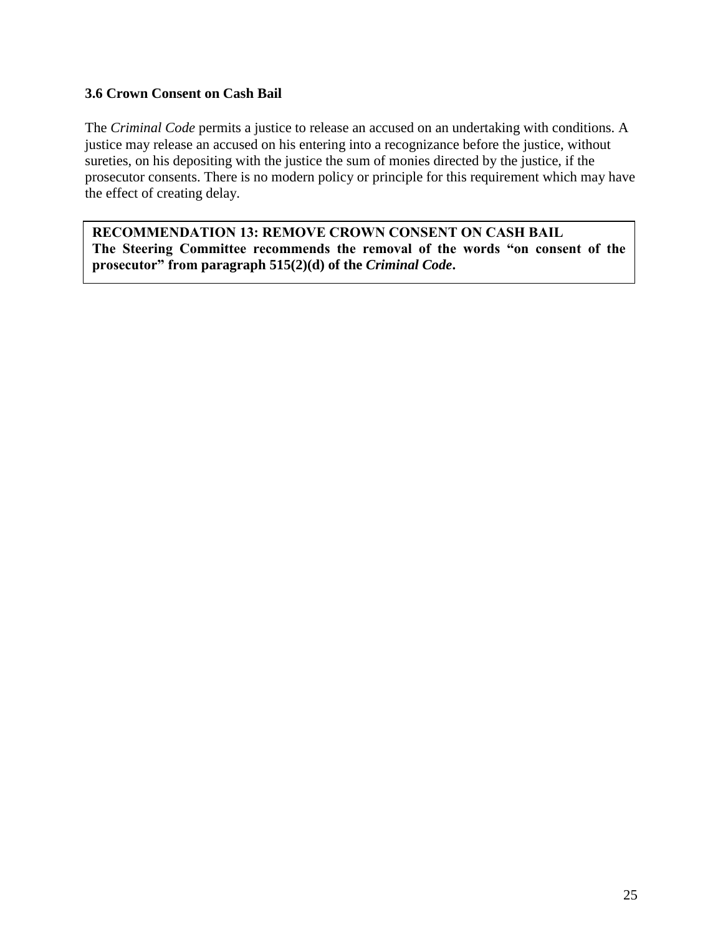#### **3.6 Crown Consent on Cash Bail**

The *Criminal Code* permits a justice to release an accused on an undertaking with conditions. A justice may release an accused on his entering into a recognizance before the justice, without sureties, on his depositing with the justice the sum of monies directed by the justice, if the prosecutor consents. There is no modern policy or principle for this requirement which may have the effect of creating delay.

<span id="page-26-0"></span>**RECOMMENDATION 13: REMOVE CROWN CONSENT ON CASH BAIL The Steering Committee recommends the removal of the words "on consent of the prosecutor" from paragraph 515(2)(d) of the** *Criminal Code***.**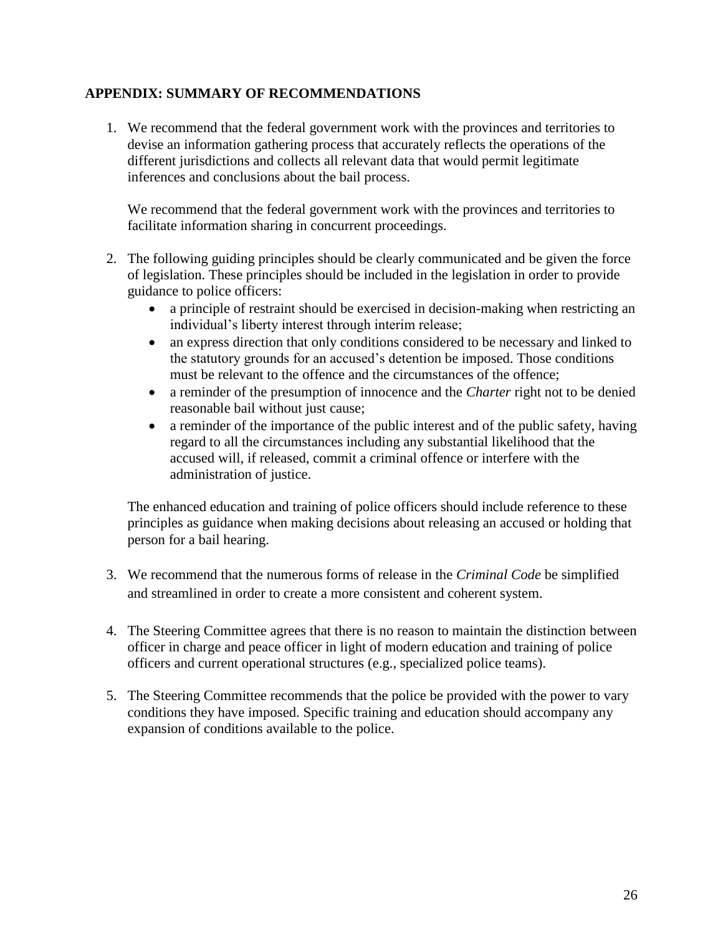### **APPENDIX: SUMMARY OF RECOMMENDATIONS**

1. We recommend that the federal government work with the provinces and territories to devise an information gathering process that accurately reflects the operations of the different jurisdictions and collects all relevant data that would permit legitimate inferences and conclusions about the bail process.

We recommend that the federal government work with the provinces and territories to facilitate information sharing in concurrent proceedings.

- 2. The following guiding principles should be clearly communicated and be given the force of legislation. These principles should be included in the legislation in order to provide guidance to police officers:
	- a principle of restraint should be exercised in decision-making when restricting an individual's liberty interest through interim release;
	- an express direction that only conditions considered to be necessary and linked to the statutory grounds for an accused's detention be imposed. Those conditions must be relevant to the offence and the circumstances of the offence;
	- a reminder of the presumption of innocence and the *Charter* right not to be denied reasonable bail without just cause;
	- a reminder of the importance of the public interest and of the public safety, having regard to all the circumstances including any substantial likelihood that the accused will, if released, commit a criminal offence or interfere with the administration of justice.

The enhanced education and training of police officers should include reference to these principles as guidance when making decisions about releasing an accused or holding that person for a bail hearing.

- 3. We recommend that the numerous forms of release in the *Criminal Code* be simplified and streamlined in order to create a more consistent and coherent system.
- 4. The Steering Committee agrees that there is no reason to maintain the distinction between officer in charge and peace officer in light of modern education and training of police officers and current operational structures (e.g., specialized police teams).
- 5. The Steering Committee recommends that the police be provided with the power to vary conditions they have imposed. Specific training and education should accompany any expansion of conditions available to the police.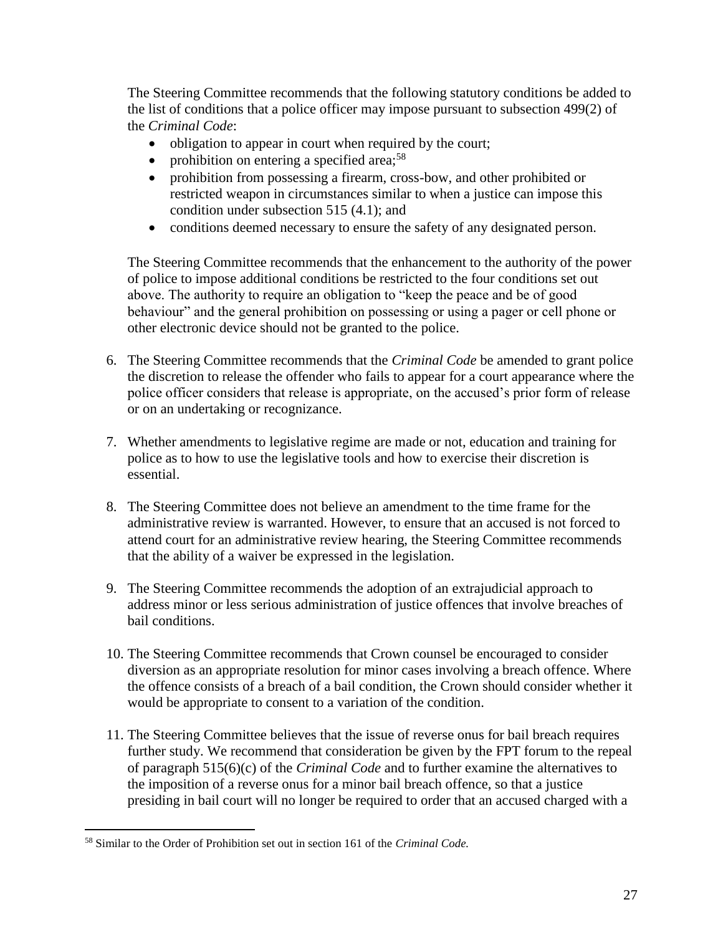The Steering Committee recommends that the following statutory conditions be added to the list of conditions that a police officer may impose pursuant to subsection 499(2) of the *Criminal Code*:

- obligation to appear in court when required by the court;
- prohibition on entering a specified area;<sup>58</sup>
- prohibition from possessing a firearm, cross-bow, and other prohibited or restricted weapon in circumstances similar to when a justice can impose this condition under subsection 515 (4.1); and
- conditions deemed necessary to ensure the safety of any designated person.

The Steering Committee recommends that the enhancement to the authority of the power of police to impose additional conditions be restricted to the four conditions set out above. The authority to require an obligation to "keep the peace and be of good behaviour" and the general prohibition on possessing or using a pager or cell phone or other electronic device should not be granted to the police.

- 6. The Steering Committee recommends that the *Criminal Code* be amended to grant police the discretion to release the offender who fails to appear for a court appearance where the police officer considers that release is appropriate, on the accused's prior form of release or on an undertaking or recognizance.
- 7. Whether amendments to legislative regime are made or not, education and training for police as to how to use the legislative tools and how to exercise their discretion is essential.
- 8. The Steering Committee does not believe an amendment to the time frame for the administrative review is warranted. However, to ensure that an accused is not forced to attend court for an administrative review hearing, the Steering Committee recommends that the ability of a waiver be expressed in the legislation.
- 9. The Steering Committee recommends the adoption of an extrajudicial approach to address minor or less serious administration of justice offences that involve breaches of bail conditions.
- 10. The Steering Committee recommends that Crown counsel be encouraged to consider diversion as an appropriate resolution for minor cases involving a breach offence. Where the offence consists of a breach of a bail condition, the Crown should consider whether it would be appropriate to consent to a variation of the condition.
- 11. The Steering Committee believes that the issue of reverse onus for bail breach requires further study. We recommend that consideration be given by the FPT forum to the repeal of paragraph 515(6)(c) of the *Criminal Code* and to further examine the alternatives to the imposition of a reverse onus for a minor bail breach offence, so that a justice presiding in bail court will no longer be required to order that an accused charged with a

<sup>58</sup> Similar to the Order of Prohibition set out in section 161 of the *Criminal Code.*